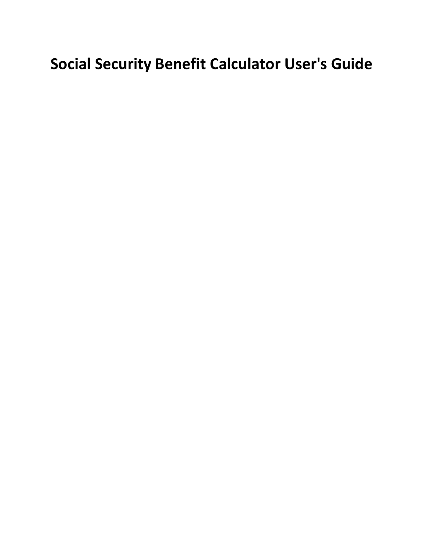## **Social Security Benefit Calculator User's Guide**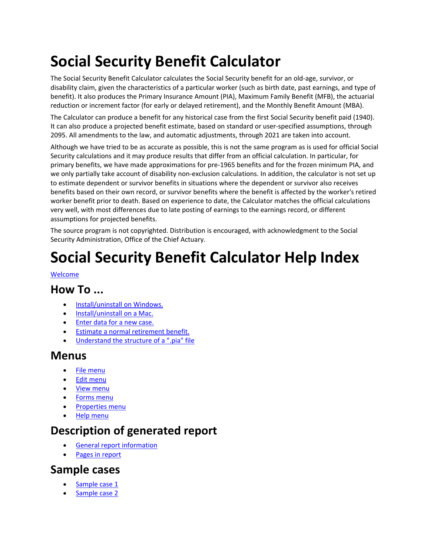# **Social Security Benefit Calculator**

The Social Security Benefit Calculator calculates the Social Security benefit for an old‐age, survivor, or disability claim, given the characteristics of a particular worker (such as birth date, past earnings, and type of benefit). It also produces the Primary Insurance Amount (PIA), Maximum Family Benefit (MFB), the actuarial reduction or increment factor (for early or delayed retirement), and the Monthly Benefit Amount (MBA).

The Calculator can produce a benefit for any historical case from the first Social Security benefit paid (1940). It can also produce a projected benefit estimate, based on standard or user‐specified assumptions, through 2095. All amendments to the law, and automatic adjustments, through 2021 are taken into account.

Although we have tried to be as accurate as possible, this is not the same program as is used for official Social Security calculations and it may produce results that differ from an official calculation. In particular, for primary benefits, we have made approximations for pre‐1965 benefits and for the frozen minimum PIA, and we only partially take account of disability non-exclusion calculations. In addition, the calculator is not set up to estimate dependent or survivor benefits in situations where the dependent or survivor also receives benefits based on their own record, or survivor benefits where the benefit is affected by the worker's retired worker benefit prior to death. Based on experience to date, the Calculator matches the official calculations very well, with most differences due to late posting of earnings to the earnings record, or different assumptions for projected benefits.

The source program is not copyrighted. Distribution is encouraged, with acknowledgment to the Social Security Administration, Office of the Chief Actuary.

### **Social Security Benefit Calculator Help Index**

#### Welcome

#### **How To ...**

- Install/uninstall on Windows.
- Install/uninstall on a Mac.
- Enter data for a new case.
- Estimate a normal retirement benefit.
- Understand the structure of a ".pia" file

#### **Menus**

- File menu
- Edit menu
- View menu
- Forms menu
- Properties menu
- Help menu

#### **Description of generated report**

- General report information
- Pages in report

#### **Sample cases**

- Sample case 1
- Sample case 2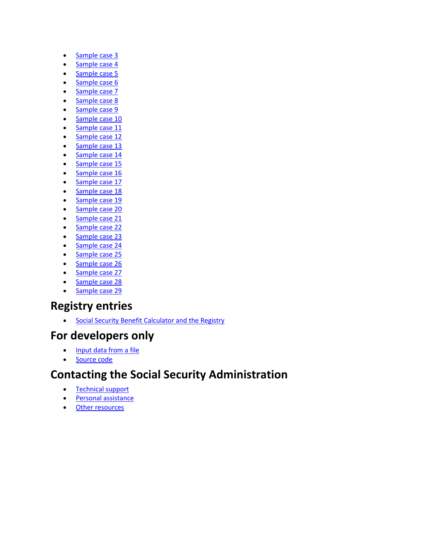- Sample case 3
- Sample case 4
- Sample case 5
- Sample case 6
- Sample case 7
- Sample case 8
- Sample case 9
- Sample case 10 • Sample case 11
- Sample case 12
- Sample case 13
- Sample case 14
- Sample case 15
- Sample case 16
- Sample case 17
- Sample case 18
- Sample case 19
- Sample case 20
- Sample case 21
- Sample case 22
- Sample case 23
- Sample case 24
- Sample case 25
- Sample case 26
- Sample case 27
- Sample case 28
- Sample case 29

#### **Registry entries**

**Social Security Benefit Calculator and the Registry** 

#### **For developers only**

- Input data from a file
- Source code

#### **Contacting the Social Security Administration**

- Technical support
- **•** Personal assistance
- Other resources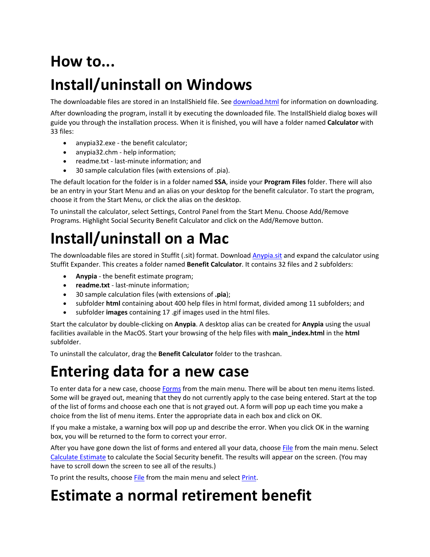## **How to...**

### **Install/uninstall on Windows**

The downloadable files are stored in an InstallShield file. See download.html for information on downloading.

After downloading the program, install it by executing the downloaded file. The InstallShield dialog boxes will guide you through the installation process. When it is finished, you will have a folder named **Calculator** with 33 files:

- anypia32.exe the benefit calculator;
- anypia32.chm ‐ help information;
- readme.txt last-minute information; and
- 30 sample calculation files (with extensions of .pia).

The default location for the folder is in a folder named **SSA**, inside your **Program Files** folder. There will also be an entry in your Start Menu and an alias on your desktop for the benefit calculator. To start the program, choose it from the Start Menu, or click the alias on the desktop.

To uninstall the calculator, select Settings, Control Panel from the Start Menu. Choose Add/Remove Programs. Highlight Social Security Benefit Calculator and click on the Add/Remove button.

### **Install/uninstall on a Mac**

The downloadable files are stored in Stuffit (.sit) format. Download Anypia.sit and expand the calculator using Stuffit Expander. This creates a folder named **Benefit Calculator**. It contains 32 files and 2 subfolders:

- **Anypia** ‐ the benefit estimate program;
- **readme.txt** ‐ last‐minute information;
- 30 sample calculation files (with extensions of **.pia**);
- subfolder **html** containing about 400 help files in html format, divided among 11 subfolders; and
- subfolder **images** containing 17 .gif images used in the html files.

Start the calculator by double‐clicking on **Anypia**. A desktop alias can be created for **Anypia** using the usual facilities available in the MacOS. Start your browsing of the help files with **main\_index.html** in the **html** subfolder.

To uninstall the calculator, drag the **Benefit Calculator** folder to the trashcan.

### **Entering data for a new case**

To enter data for a new case, choose Forms from the main menu. There will be about ten menu items listed. Some will be grayed out, meaning that they do not currently apply to the case being entered. Start at the top of the list of forms and choose each one that is not grayed out. A form will pop up each time you make a choice from the list of menu items. Enter the appropriate data in each box and click on OK.

If you make a mistake, a warning box will pop up and describe the error. When you click OK in the warning box, you will be returned to the form to correct your error.

After you have gone down the list of forms and entered all your data, choose File from the main menu. Select Calculate Estimate to calculate the Social Security benefit. The results will appear on the screen. (You may have to scroll down the screen to see all of the results.)

To print the results, choose File from the main menu and select Print.

### **Estimate a normal retirement benefit**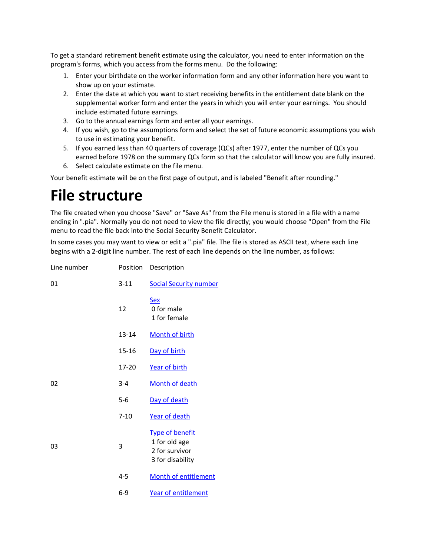To get a standard retirement benefit estimate using the calculator, you need to enter information on the program's forms, which you access from the forms menu. Do the following:

- 1. Enter your birthdate on the worker information form and any other information here you want to show up on your estimate.
- 2. Enter the date at which you want to start receiving benefits in the entitlement date blank on the supplemental worker form and enter the years in which you will enter your earnings. You should include estimated future earnings.
- 3. Go to the annual earnings form and enter all your earnings.
- 4. If you wish, go to the assumptions form and select the set of future economic assumptions you wish to use in estimating your benefit.
- 5. If you earned less than 40 quarters of coverage (QCs) after 1977, enter the number of QCs you earned before 1978 on the summary QCs form so that the calculator will know you are fully insured.
- 6. Select calculate estimate on the file menu.

Your benefit estimate will be on the first page of output, and is labeled "Benefit after rounding."

### **File structure**

The file created when you choose "Save" or "Save As" from the File menu is stored in a file with a name ending in ".pia". Normally you do not need to view the file directly; you would choose "Open" from the File menu to read the file back into the Social Security Benefit Calculator.

In some cases you may want to view or edit a ".pia" file. The file is stored as ASCII text, where each line begins with a 2‐digit line number. The rest of each line depends on the line number, as follows:

| Line number | Position  | Description                                                                   |
|-------------|-----------|-------------------------------------------------------------------------------|
| 01          | $3 - 11$  | <b>Social Security number</b>                                                 |
|             | 12        | <b>Sex</b><br>0 for male<br>1 for female                                      |
|             | 13-14     | Month of birth                                                                |
|             | 15-16     | Day of birth                                                                  |
|             | $17 - 20$ | Year of birth                                                                 |
| 02          | $3 - 4$   | Month of death                                                                |
|             | $5-6$     | Day of death                                                                  |
|             | $7 - 10$  | Year of death                                                                 |
| 03          | 3         | <b>Type of benefit</b><br>1 for old age<br>2 for survivor<br>3 for disability |
|             | $4 - 5$   | Month of entitlement                                                          |
|             | $6-9$     | Year of entitlement                                                           |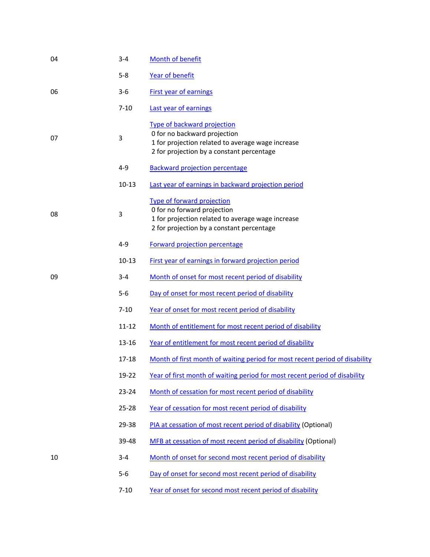| 04 | $3 - 4$   | Month of benefit                                                                                                                                                     |
|----|-----------|----------------------------------------------------------------------------------------------------------------------------------------------------------------------|
|    | $5 - 8$   | <b>Year of benefit</b>                                                                                                                                               |
| 06 | $3 - 6$   | <b>First year of earnings</b>                                                                                                                                        |
|    | $7 - 10$  | Last year of earnings                                                                                                                                                |
| 07 | 3         | <b>Type of backward projection</b><br>0 for no backward projection<br>1 for projection related to average wage increase<br>2 for projection by a constant percentage |
|    | 4-9       | <b>Backward projection percentage</b>                                                                                                                                |
|    | $10 - 13$ | Last year of earnings in backward projection period                                                                                                                  |
| 08 | 3         | Type of forward projection<br>0 for no forward projection<br>1 for projection related to average wage increase<br>2 for projection by a constant percentage          |
|    | $4 - 9$   | Forward projection percentage                                                                                                                                        |
|    | $10 - 13$ | First year of earnings in forward projection period                                                                                                                  |
| 09 | $3 - 4$   | Month of onset for most recent period of disability                                                                                                                  |
|    | $5-6$     | Day of onset for most recent period of disability                                                                                                                    |
|    | $7 - 10$  | Year of onset for most recent period of disability                                                                                                                   |
|    | $11 - 12$ | Month of entitlement for most recent period of disability                                                                                                            |
|    | 13-16     | Year of entitlement for most recent period of disability                                                                                                             |
|    | 17-18     | Month of first month of waiting period for most recent period of disability                                                                                          |
|    | 19-22     | Year of first month of waiting period for most recent period of disability                                                                                           |
|    | $23 - 24$ | Month of cessation for most recent period of disability                                                                                                              |
|    | $25 - 28$ | Year of cessation for most recent period of disability                                                                                                               |
|    | 29-38     | PIA at cessation of most recent period of disability (Optional)                                                                                                      |
|    | 39-48     | MFB at cessation of most recent period of disability (Optional)                                                                                                      |
| 10 | $3 - 4$   | Month of onset for second most recent period of disability                                                                                                           |
|    | $5-6$     | Day of onset for second most recent period of disability                                                                                                             |
|    |           |                                                                                                                                                                      |

7-10 Year of onset for second most recent period of disability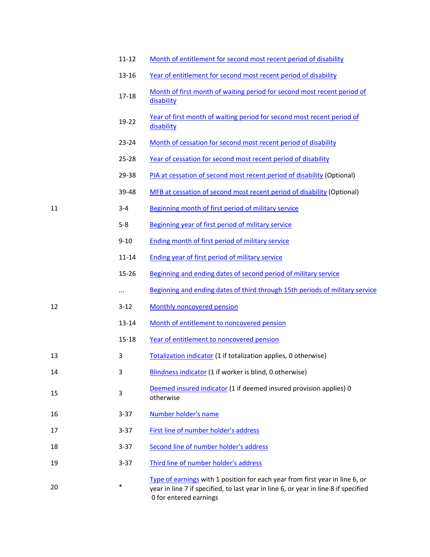|    | $11 - 12$ | Month of entitlement for second most recent period of disability                                                                                                                              |
|----|-----------|-----------------------------------------------------------------------------------------------------------------------------------------------------------------------------------------------|
|    | $13 - 16$ | Year of entitlement for second most recent period of disability                                                                                                                               |
|    | $17 - 18$ | Month of first month of waiting period for second most recent period of<br>disability                                                                                                         |
|    | 19-22     | Year of first month of waiting period for second most recent period of<br>disability                                                                                                          |
|    | $23 - 24$ | Month of cessation for second most recent period of disability                                                                                                                                |
|    | $25 - 28$ | Year of cessation for second most recent period of disability                                                                                                                                 |
|    | 29-38     | PIA at cessation of second most recent period of disability (Optional)                                                                                                                        |
|    | 39-48     | MFB at cessation of second most recent period of disability (Optional)                                                                                                                        |
| 11 | $3 - 4$   | Beginning month of first period of military service                                                                                                                                           |
|    | $5 - 8$   | Beginning year of first period of military service                                                                                                                                            |
|    | $9 - 10$  | Ending month of first period of military service                                                                                                                                              |
|    | $11 - 14$ | <b>Ending year of first period of military service</b>                                                                                                                                        |
|    | $15 - 26$ | Beginning and ending dates of second period of military service                                                                                                                               |
|    | $\cdots$  | Beginning and ending dates of third through 15th periods of military service                                                                                                                  |
| 12 | $3 - 12$  | Monthly noncovered pension                                                                                                                                                                    |
|    | 13-14     | Month of entitlement to noncovered pension                                                                                                                                                    |
|    | $15 - 18$ | Year of entitlement to noncovered pension                                                                                                                                                     |
| 13 | 3         | Totalization indicator (1 if totalization applies, 0 otherwise)                                                                                                                               |
| 14 | 3         | Blindness indicator (1 if worker is blind, 0 otherwise)                                                                                                                                       |
| 15 | 3         | Deemed insured indicator (1 if deemed insured provision applies) 0<br>otherwise                                                                                                               |
| 16 | $3 - 37$  | Number holder's name                                                                                                                                                                          |
| 17 | $3 - 37$  | First line of number holder's address                                                                                                                                                         |
| 18 | $3 - 37$  | Second line of number holder's address                                                                                                                                                        |
| 19 | $3 - 37$  | Third line of number holder's address                                                                                                                                                         |
| 20 | $\ast$    | Type of earnings with 1 position for each year from first year in line 6, or<br>year in line 7 if specified, to last year in line 6, or year in line 8 if specified<br>0 for entered earnings |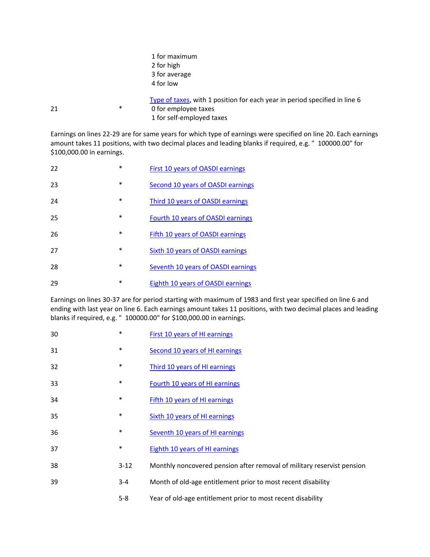|    |   | 1 for maximum                                                              |
|----|---|----------------------------------------------------------------------------|
|    |   | 2 for high                                                                 |
|    |   | 3 for average                                                              |
|    |   | 4 for low                                                                  |
|    |   | Type of taxes, with 1 position for each year in period specified in line 6 |
| 21 | * | 0 for employee taxes                                                       |
|    |   | 1 for self-employed taxes                                                  |
|    |   |                                                                            |

Earnings on lines 22‐29 are for same years for which type of earnings were specified on line 20. Each earnings amount takes 11 positions, with two decimal places and leading blanks if required, e.g. " 100000.00" for \$100,000.00 in earnings.

| 22 | $\ast$ | First 10 years of OASDI earnings   |
|----|--------|------------------------------------|
| 23 | $\ast$ | Second 10 years of OASDI earnings  |
| 24 | *      | Third 10 years of OASDI earnings   |
| 25 | $\ast$ | Fourth 10 years of OASDI earnings  |
| 26 | *      | Fifth 10 years of OASDI earnings   |
| 27 | *      | Sixth 10 years of OASDI earnings   |
| 28 | *      | Seventh 10 years of OASDI earnings |
| 29 | $\ast$ | Eighth 10 years of OASDI earnings  |

Earnings on lines 30‐37 are for period starting with maximum of 1983 and first year specified on line 6 and ending with last year on line 6. Each earnings amount takes 11 positions, with two decimal places and leading blanks if required, e.g. " 100000.00" for \$100,000.00 in earnings.

| 30 | $\ast$   | <b>First 10 years of HI earnings</b>                                   |
|----|----------|------------------------------------------------------------------------|
| 31 | $\ast$   | Second 10 years of HI earnings                                         |
| 32 | $\ast$   | Third 10 years of HI earnings                                          |
| 33 | ∗        | Fourth 10 years of HI earnings                                         |
| 34 | *        | <b>Fifth 10 years of HI earnings</b>                                   |
| 35 | $\ast$   | <b>Sixth 10 years of HI earnings</b>                                   |
| 36 | ∗        | Seventh 10 years of HI earnings                                        |
| 37 | $\ast$   | <b>Eighth 10 years of HI earnings</b>                                  |
| 38 | $3 - 12$ | Monthly noncovered pension after removal of military reservist pension |
| 39 | $3 - 4$  | Month of old-age entitlement prior to most recent disability           |
|    | $5 - 8$  | Year of old-age entitlement prior to most recent disability            |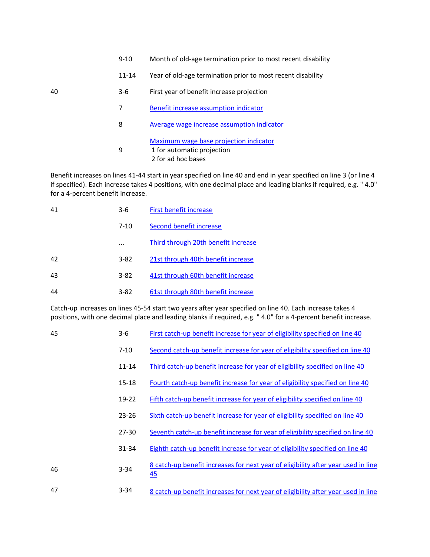11-14 Year of old-age termination prior to most recent disability

| 40 | 3-6 | First year of benefit increase projection |  |
|----|-----|-------------------------------------------|--|
|----|-----|-------------------------------------------|--|

- **Benefit increase assumption indicator**
- Average wage increase assumption indicator Maximum wage base projection indicator for automatic projection for ad hoc bases

Benefit increases on lines 41‐44 start in year specified on line 40 and end in year specified on line 3 (or line 4 if specified). Each increase takes 4 positions, with one decimal place and leading blanks if required, e.g. " 4.0" for a 4‐percent benefit increase.

| 41 | $3-6$    | First benefit increase              |
|----|----------|-------------------------------------|
|    | $7 - 10$ | Second benefit increase             |
|    |          | Third through 20th benefit increase |
| 42 | $3 - 82$ | 21st through 40th benefit increase  |
| 43 | $3 - 82$ | 41st through 60th benefit increase  |
| 44 | $3 - 82$ | 61st through 80th benefit increase  |

Catch‐up increases on lines 45‐54 start two years after year specified on line 40. Each increase takes 4 positions, with one decimal place and leading blanks if required, e.g. " 4.0" for a 4‐percent benefit increase.

| 45 | $3-6$     | First catch-up benefit increase for year of eligibility specified on line 40            |
|----|-----------|-----------------------------------------------------------------------------------------|
|    | $7 - 10$  | Second catch-up benefit increase for year of eligibility specified on line 40           |
|    | $11 - 14$ | Third catch-up benefit increase for year of eligibility specified on line 40            |
|    | $15 - 18$ | Fourth catch-up benefit increase for year of eligibility specified on line 40           |
|    | $19 - 22$ | Fifth catch-up benefit increase for year of eligibility specified on line 40            |
|    | $23 - 26$ | Sixth catch-up benefit increase for year of eligibility specified on line 40            |
|    | $27 - 30$ | Seventh catch-up benefit increase for year of eligibility specified on line 40          |
|    | 31-34     | Eighth catch-up benefit increase for year of eligibility specified on line 40           |
| 46 | $3 - 34$  | 8 catch-up benefit increases for next year of eligibility after year used in line<br>45 |
| 47 | $3 - 34$  | 8 catch-up benefit increases for next year of eligibility after year used in line       |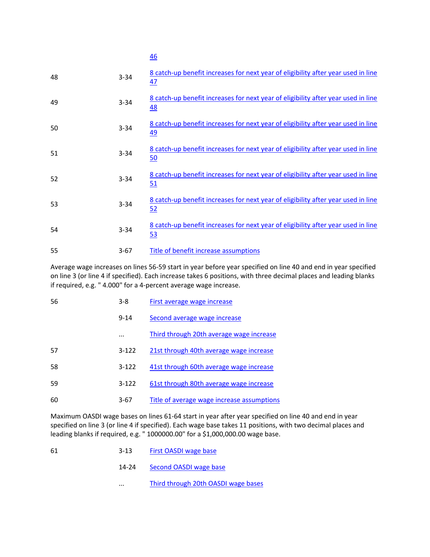| 48 | $3 - 34$ | 8 catch-up benefit increases for next year of eligibility after year used in line<br>47 |
|----|----------|-----------------------------------------------------------------------------------------|
| 49 | $3 - 34$ | 8 catch-up benefit increases for next year of eligibility after year used in line<br>48 |
| 50 | $3 - 34$ | 8 catch-up benefit increases for next year of eligibility after year used in line<br>49 |
| 51 | $3 - 34$ | 8 catch-up benefit increases for next year of eligibility after year used in line<br>50 |
| 52 | $3 - 34$ | 8 catch-up benefit increases for next year of eligibility after year used in line<br>51 |
| 53 | $3 - 34$ | 8 catch-up benefit increases for next year of eligibility after year used in line<br>52 |
| 54 | $3 - 34$ | 8 catch-up benefit increases for next year of eligibility after year used in line<br>53 |
| 55 | $3 - 67$ | Title of benefit increase assumptions                                                   |

Average wage increases on lines 56‐59 start in year before year specified on line 40 and end in year specified on line 3 (or line 4 if specified). Each increase takes 6 positions, with three decimal places and leading blanks if required, e.g. " 4.000" for a 4‐percent average wage increase.

| 56 | 3-8       | <b>First average wage increase</b>         |
|----|-----------|--------------------------------------------|
|    | $9 - 14$  | Second average wage increase               |
|    |           | Third through 20th average wage increase   |
| 57 | $3 - 122$ | 21st through 40th average wage increase    |
| 58 | $3 - 122$ | 41st through 60th average wage increase    |
| 59 | $3 - 122$ | 61st through 80th average wage increase    |
| 60 | $3-67$    | Title of average wage increase assumptions |

Maximum OASDI wage bases on lines 61‐64 start in year after year specified on line 40 and end in year specified on line 3 (or line 4 if specified). Each wage base takes 11 positions, with two decimal places and leading blanks if required, e.g. " 1000000.00" for a \$1,000,000.00 wage base.

- 61 3-13 First OASDI wage base
	- 14-24 Second OASDI wage base
	- ... Third through 20th OASDI wage bases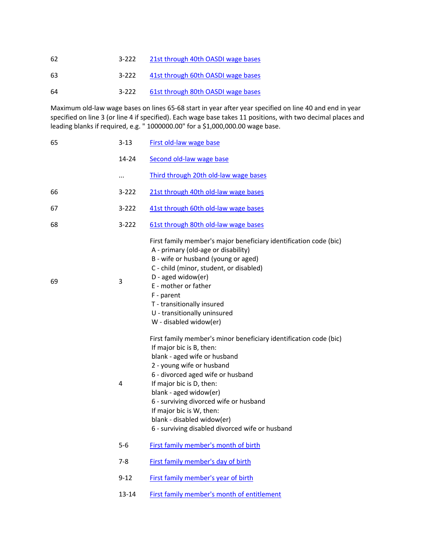| 62 | $3 - 222$ | 21st through 40th OASDI wage bases |  |
|----|-----------|------------------------------------|--|
|    |           |                                    |  |

63 3-222 41st through 60th OASDI wage bases

64 3-222 61st through 80th OASDI wage bases

Maximum old‐law wage bases on lines 65‐68 start in year after year specified on line 40 and end in year specified on line 3 (or line 4 if specified). Each wage base takes 11 positions, with two decimal places and leading blanks if required, e.g. " 1000000.00" for a \$1,000,000.00 wage base.

| 65 | $3 - 13$  | First old-law wage base                                                                                                                                                                                                                                                                                                                                                                                      |  |  |
|----|-----------|--------------------------------------------------------------------------------------------------------------------------------------------------------------------------------------------------------------------------------------------------------------------------------------------------------------------------------------------------------------------------------------------------------------|--|--|
|    | 14-24     | Second old-law wage base                                                                                                                                                                                                                                                                                                                                                                                     |  |  |
|    |           | Third through 20th old-law wage bases                                                                                                                                                                                                                                                                                                                                                                        |  |  |
| 66 | $3 - 222$ | 21st through 40th old-law wage bases                                                                                                                                                                                                                                                                                                                                                                         |  |  |
| 67 | $3 - 222$ | 41st through 60th old-law wage bases                                                                                                                                                                                                                                                                                                                                                                         |  |  |
| 68 | $3 - 222$ | 61st through 80th old-law wage bases                                                                                                                                                                                                                                                                                                                                                                         |  |  |
| 69 | 3         | First family member's major beneficiary identification code (bic)<br>A - primary (old-age or disability)<br>B - wife or husband (young or aged)<br>C - child (minor, student, or disabled)<br>D - aged widow(er)<br>E - mother or father<br>F - parent<br>T - transitionally insured<br>U - transitionally uninsured<br>W - disabled widow(er)                                                               |  |  |
|    | 4         | First family member's minor beneficiary identification code (bic)<br>If major bic is B, then:<br>blank - aged wife or husband<br>2 - young wife or husband<br>6 - divorced aged wife or husband<br>If major bic is D, then:<br>blank - aged widow(er)<br>6 - surviving divorced wife or husband<br>If major bic is W, then:<br>blank - disabled widow(er)<br>6 - surviving disabled divorced wife or husband |  |  |
|    | $5 - 6$   | First family member's month of birth                                                                                                                                                                                                                                                                                                                                                                         |  |  |
|    | $7-8$     | First family member's day of birth                                                                                                                                                                                                                                                                                                                                                                           |  |  |
|    | $9 - 12$  | First family member's year of birth                                                                                                                                                                                                                                                                                                                                                                          |  |  |
|    | $13 - 14$ | First family member's month of entitlement                                                                                                                                                                                                                                                                                                                                                                   |  |  |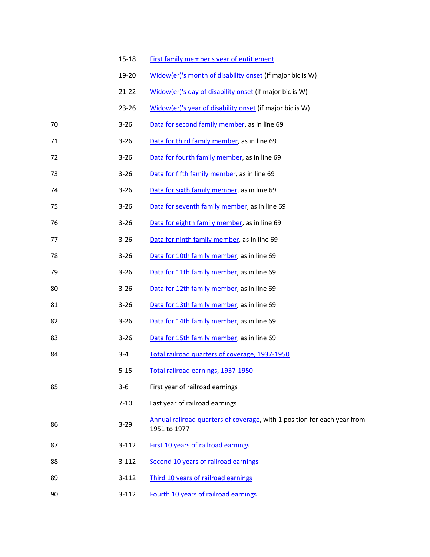|    | $15 - 18$ | First family member's year of entitlement                                                |
|----|-----------|------------------------------------------------------------------------------------------|
|    | 19-20     | Widow(er)'s month of disability onset (if major bic is W)                                |
|    | $21 - 22$ | Widow(er)'s day of disability onset (if major bic is W)                                  |
|    | 23-26     | Widow(er)'s year of disability onset (if major bic is W)                                 |
| 70 | $3 - 26$  | Data for second family member, as in line 69                                             |
| 71 | $3 - 26$  | Data for third family member, as in line 69                                              |
| 72 | $3 - 26$  | Data for fourth family member, as in line 69                                             |
| 73 | $3 - 26$  | Data for fifth family member, as in line 69                                              |
| 74 | $3 - 26$  | Data for sixth family member, as in line 69                                              |
| 75 | $3 - 26$  | Data for seventh family member, as in line 69                                            |
| 76 | $3 - 26$  | Data for eighth family member, as in line 69                                             |
| 77 | $3 - 26$  | Data for ninth family member, as in line 69                                              |
| 78 | $3 - 26$  | Data for 10th family member, as in line 69                                               |
| 79 | $3 - 26$  | Data for 11th family member, as in line 69                                               |
| 80 | $3 - 26$  | Data for 12th family member, as in line 69                                               |
| 81 | $3 - 26$  | Data for 13th family member, as in line 69                                               |
| 82 | $3 - 26$  | Data for 14th family member, as in line 69                                               |
| 83 | $3 - 26$  | Data for 15th family member, as in line 69                                               |
| 84 | $3 - 4$   | Total railroad quarters of coverage, 1937-1950                                           |
|    | $5 - 15$  | Total railroad earnings, 1937-1950                                                       |
| 85 | $3 - 6$   | First year of railroad earnings                                                          |
|    | $7 - 10$  | Last year of railroad earnings                                                           |
| 86 | $3 - 29$  | Annual railroad quarters of coverage, with 1 position for each year from<br>1951 to 1977 |
| 87 | $3 - 112$ | First 10 years of railroad earnings                                                      |
| 88 | $3 - 112$ | Second 10 years of railroad earnings                                                     |
| 89 | $3 - 112$ | Third 10 years of railroad earnings                                                      |
| 90 | $3 - 112$ | Fourth 10 years of railroad earnings                                                     |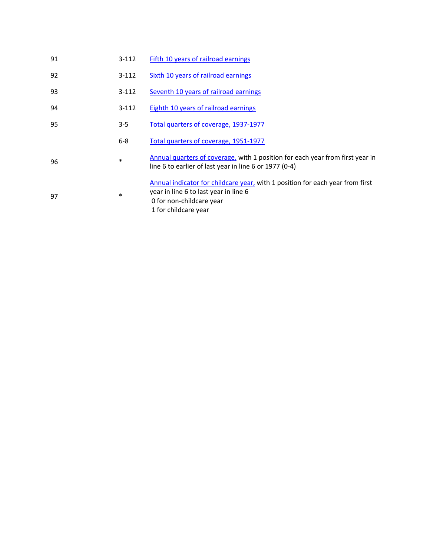| 91 | $3 - 112$ | Fifth 10 years of railroad earnings                                                                                                                                        |
|----|-----------|----------------------------------------------------------------------------------------------------------------------------------------------------------------------------|
| 92 | $3 - 112$ | Sixth 10 years of railroad earnings                                                                                                                                        |
| 93 | $3 - 112$ | Seventh 10 years of railroad earnings                                                                                                                                      |
| 94 | $3 - 112$ | <b>Eighth 10 years of railroad earnings</b>                                                                                                                                |
| 95 | $3 - 5$   | Total quarters of coverage, 1937-1977                                                                                                                                      |
|    | $6 - 8$   | Total quarters of coverage, 1951-1977                                                                                                                                      |
| 96 | $\ast$    | Annual quarters of coverage, with 1 position for each year from first year in<br>line 6 to earlier of last year in line 6 or 1977 (0-4)                                    |
| 97 | $\ast$    | Annual indicator for childcare year, with 1 position for each year from first<br>year in line 6 to last year in line 6<br>0 for non-childcare year<br>1 for childcare year |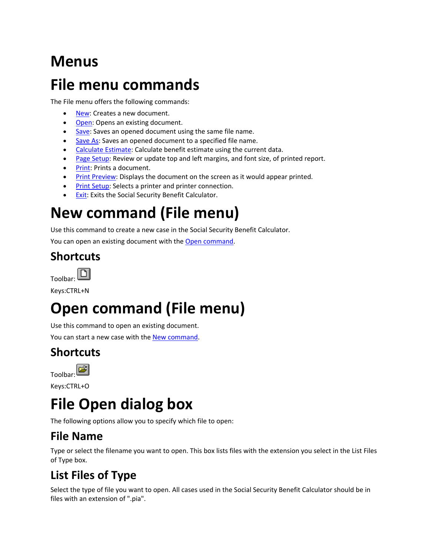### **Menus**

### **File menu commands**

The File menu offers the following commands:

- New: Creates a new document.
- Open: Opens an existing document.
- Save: Saves an opened document using the same file name.
- Save As: Saves an opened document to a specified file name.
- Calculate Estimate: Calculate benefit estimate using the current data.
- Page Setup: Review or update top and left margins, and font size, of printed report.
- Print: Prints a document.
- **Print Preview:** Displays the document on the screen as it would appear printed.
- Print Setup: Selects a printer and printer connection.
- **Exit: Exits the Social Security Benefit Calculator.**

## **New command (File menu)**

Use this command to create a new case in the Social Security Benefit Calculator.

You can open an existing document with the Open command.

#### **Shortcuts**



Keys:CTRL+N

# **Open command (File menu)**

Use this command to open an existing document.

You can start a new case with the New command.

### **Shortcuts**



Keys:CTRL+O

# **File Open dialog box**

The following options allow you to specify which file to open:

### **File Name**

Type or select the filename you want to open. This box lists files with the extension you select in the List Files of Type box.

### **List Files of Type**

Select the type of file you want to open. All cases used in the Social Security Benefit Calculator should be in files with an extension of ".pia".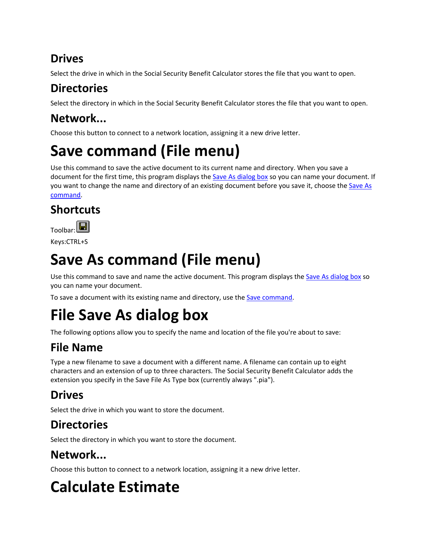### **Drives**

Select the drive in which in the Social Security Benefit Calculator stores the file that you want to open.

### **Directories**

Select the directory in which in the Social Security Benefit Calculator stores the file that you want to open.

### **Network...**

Choose this button to connect to a network location, assigning it a new drive letter.

## **Save command (File menu)**

Use this command to save the active document to its current name and directory. When you save a document for the first time, this program displays the Save As dialog box so you can name your document. If you want to change the name and directory of an existing document before you save it, choose the Save As command.

### **Shortcuts**



Keys:CTRL+S

# **Save As command (File menu)**

Use this command to save and name the active document. This program displays the Save As dialog box so you can name your document.

To save a document with its existing name and directory, use the Save command.

### **File Save As dialog box**

The following options allow you to specify the name and location of the file you're about to save:

### **File Name**

Type a new filename to save a document with a different name. A filename can contain up to eight characters and an extension of up to three characters. The Social Security Benefit Calculator adds the extension you specify in the Save File As Type box (currently always ".pia").

### **Drives**

Select the drive in which you want to store the document.

### **Directories**

Select the directory in which you want to store the document.

### **Network...**

Choose this button to connect to a network location, assigning it a new drive letter.

# **Calculate Estimate**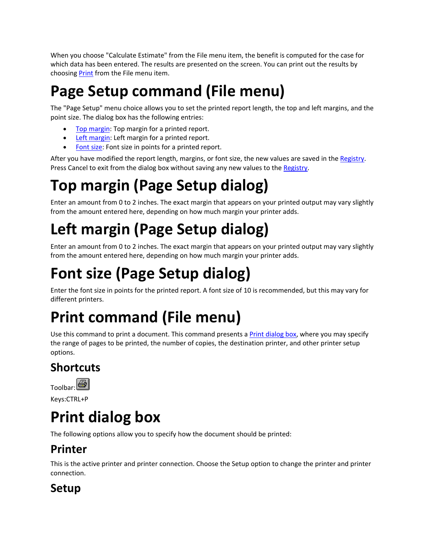When you choose "Calculate Estimate" from the File menu item, the benefit is computed for the case for which data has been entered. The results are presented on the screen. You can print out the results by choosing Print from the File menu item.

# **Page Setup command (File menu)**

The "Page Setup" menu choice allows you to set the printed report length, the top and left margins, and the point size. The dialog box has the following entries:

- Top margin: Top margin for a printed report.
- Left margin: Left margin for a printed report.
- Font size: Font size in points for a printed report.

After you have modified the report length, margins, or font size, the new values are saved in the Registry. Press Cancel to exit from the dialog box without saving any new values to the Registry.

# **Top margin (Page Setup dialog)**

Enter an amount from 0 to 2 inches. The exact margin that appears on your printed output may vary slightly from the amount entered here, depending on how much margin your printer adds.

# **Left margin (Page Setup dialog)**

Enter an amount from 0 to 2 inches. The exact margin that appears on your printed output may vary slightly from the amount entered here, depending on how much margin your printer adds.

# **Font size (Page Setup dialog)**

Enter the font size in points for the printed report. A font size of 10 is recommended, but this may vary for different printers.

# **Print command (File menu)**

Use this command to print a document. This command presents a Print dialog box, where you may specify the range of pages to be printed, the number of copies, the destination printer, and other printer setup options.

### **Shortcuts**



Keys:CTRL+P

### **Print dialog box**

The following options allow you to specify how the document should be printed:

### **Printer**

This is the active printer and printer connection. Choose the Setup option to change the printer and printer connection.

### **Setup**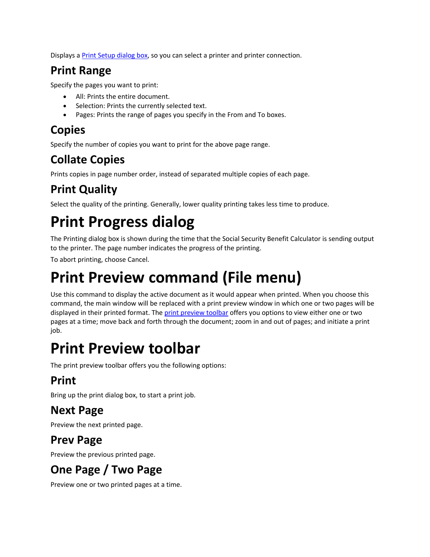Displays a Print Setup dialog box, so you can select a printer and printer connection.

#### **Print Range**

Specify the pages you want to print:

- All: Prints the entire document.
- Selection: Prints the currently selected text.
- Pages: Prints the range of pages you specify in the From and To boxes.

### **Copies**

Specify the number of copies you want to print for the above page range.

### **Collate Copies**

Prints copies in page number order, instead of separated multiple copies of each page.

### **Print Quality**

Select the quality of the printing. Generally, lower quality printing takes less time to produce.

# **Print Progress dialog**

The Printing dialog box is shown during the time that the Social Security Benefit Calculator is sending output to the printer. The page number indicates the progress of the printing.

To abort printing, choose Cancel.

### **Print Preview command (File menu)**

Use this command to display the active document as it would appear when printed. When you choose this command, the main window will be replaced with a print preview window in which one or two pages will be displayed in their printed format. The print preview toolbar offers you options to view either one or two pages at a time; move back and forth through the document; zoom in and out of pages; and initiate a print job.

### **Print Preview toolbar**

The print preview toolbar offers you the following options:

### **Print**

Bring up the print dialog box, to start a print job.

### **Next Page**

Preview the next printed page.

### **Prev Page**

Preview the previous printed page.

### **One Page / Two Page**

Preview one or two printed pages at a time.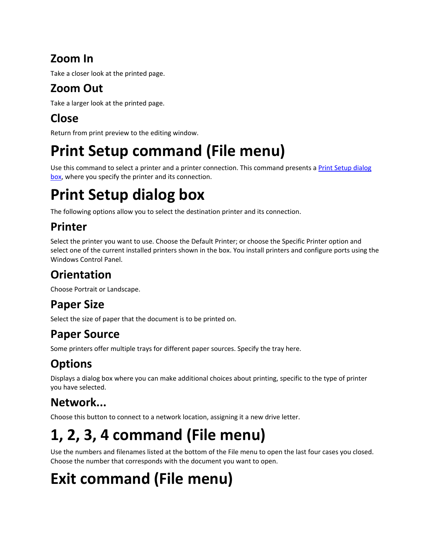### **Zoom In**

Take a closer look at the printed page.

### **Zoom Out**

Take a larger look at the printed page.

### **Close**

Return from print preview to the editing window.

# **Print Setup command (File menu)**

Use this command to select a printer and a printer connection. This command presents a Print Setup dialog box, where you specify the printer and its connection.

# **Print Setup dialog box**

The following options allow you to select the destination printer and its connection.

### **Printer**

Select the printer you want to use. Choose the Default Printer; or choose the Specific Printer option and select one of the current installed printers shown in the box. You install printers and configure ports using the Windows Control Panel.

### **Orientation**

Choose Portrait or Landscape.

### **Paper Size**

Select the size of paper that the document is to be printed on.

### **Paper Source**

Some printers offer multiple trays for different paper sources. Specify the tray here.

### **Options**

Displays a dialog box where you can make additional choices about printing, specific to the type of printer you have selected.

### **Network...**

Choose this button to connect to a network location, assigning it a new drive letter.

# **1, 2, 3, 4 command (File menu)**

Use the numbers and filenames listed at the bottom of the File menu to open the last four cases you closed. Choose the number that corresponds with the document you want to open.

# **Exit command (File menu)**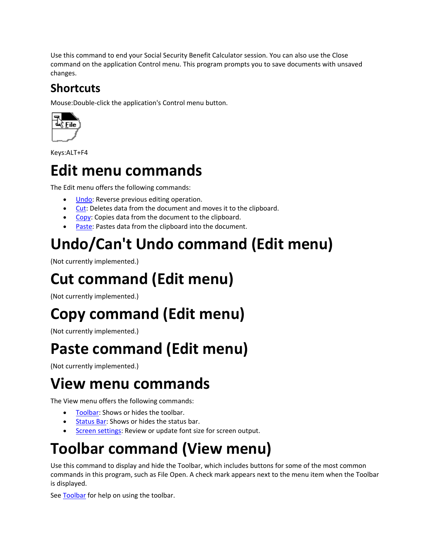Use this command to end your Social Security Benefit Calculator session. You can also use the Close command on the application Control menu. This program prompts you to save documents with unsaved changes.

### **Shortcuts**

Mouse:Double‐click the application's Control menu button.



Keys:ALT+F4

### **Edit menu commands**

The Edit menu offers the following commands:

- Undo: Reverse previous editing operation.
- Cut: Deletes data from the document and moves it to the clipboard.
- Copy: Copies data from the document to the clipboard.
- Paste: Pastes data from the clipboard into the document.

# **Undo/Can't Undo command (Edit menu)**

(Not currently implemented.)

## **Cut command (Edit menu)**

(Not currently implemented.)

# **Copy command (Edit menu)**

(Not currently implemented.)

### **Paste command (Edit menu)**

(Not currently implemented.)

### **View menu commands**

The View menu offers the following commands:

- Toolbar: Shows or hides the toolbar.
- **Status Bar: Shows or hides the status bar.**
- Screen settings: Review or update font size for screen output.

## **Toolbar command (View menu)**

Use this command to display and hide the Toolbar, which includes buttons for some of the most common commands in this program, such as File Open. A check mark appears next to the menu item when the Toolbar is displayed.

See Toolbar for help on using the toolbar.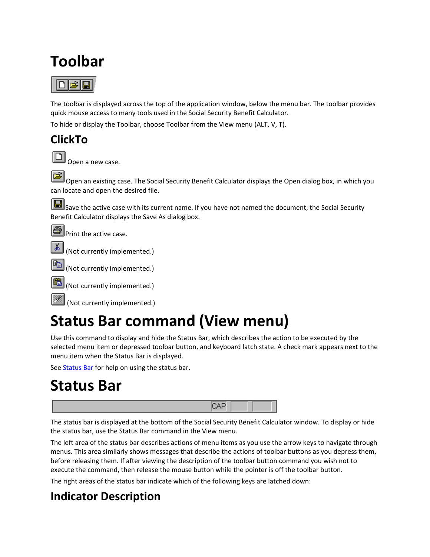### **Toolbar**



The toolbar is displayed across the top of the application window, below the menu bar. The toolbar provides quick mouse access to many tools used in the Social Security Benefit Calculator.

To hide or display the Toolbar, choose Toolbar from the View menu (ALT, V, T).

#### **ClickTo**

| _ |        |  |  |
|---|--------|--|--|
|   |        |  |  |
|   |        |  |  |
|   |        |  |  |
|   | ______ |  |  |

Open a new case.

Open an existing case. The Social Security Benefit Calculator displays the Open dialog box, in which you can locate and open the desired file.

Save the active case with its current name. If you have not named the document, the Social Security Benefit Calculator displays the Save As dialog box.

**Print the active case.** 





(Not currently implemented.)

(Not currently implemented.)

### **Status Bar command (View menu)**

Use this command to display and hide the Status Bar, which describes the action to be executed by the selected menu item or depressed toolbar button, and keyboard latch state. A check mark appears next to the menu item when the Status Bar is displayed.

See **Status Bar** for help on using the status bar.

### **Status Bar**



The status bar is displayed at the bottom of the Social Security Benefit Calculator window. To display or hide the status bar, use the Status Bar command in the View menu.

The left area of the status bar describes actions of menu items as you use the arrow keys to navigate through menus. This area similarly shows messages that describe the actions of toolbar buttons as you depress them, before releasing them. If after viewing the description of the toolbar button command you wish not to execute the command, then release the mouse button while the pointer is off the toolbar button.

The right areas of the status bar indicate which of the following keys are latched down:

### **Indicator Description**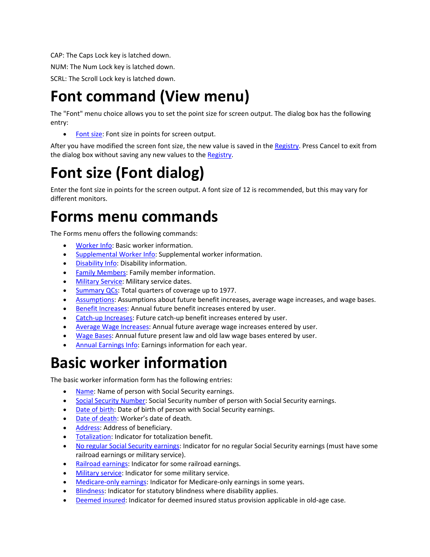CAP: The Caps Lock key is latched down.

NUM: The Num Lock key is latched down.

SCRL: The Scroll Lock key is latched down.

### **Font command (View menu)**

The "Font" menu choice allows you to set the point size for screen output. The dialog box has the following entry:

• Font size: Font size in points for screen output.

After you have modified the screen font size, the new value is saved in the Registry. Press Cancel to exit from the dialog box without saving any new values to the Registry.

### **Font size (Font dialog)**

Enter the font size in points for the screen output. A font size of 12 is recommended, but this may vary for different monitors.

### **Forms menu commands**

The Forms menu offers the following commands:

- **Worker Info: Basic worker information.**
- Supplemental Worker Info: Supplemental worker information.
- Disability Info: Disability information.
- **•** Family Members: Family member information.
- **Military Service: Military service dates.**
- Summary QCs: Total quarters of coverage up to 1977.
- Assumptions: Assumptions about future benefit increases, average wage increases, and wage bases.
- **Benefit Increases:** Annual future benefit increases entered by user.
- Catch-up Increases: Future catch-up benefit increases entered by user.
- Average Wage Increases: Annual future average wage increases entered by user.
- Wage Bases: Annual future present law and old law wage bases entered by user.
- Annual Earnings Info: Earnings information for each year.

### **Basic worker information**

The basic worker information form has the following entries:

- Name: Name of person with Social Security earnings.
- Social Security Number: Social Security number of person with Social Security earnings.
- Date of birth: Date of birth of person with Social Security earnings.
- Date of death: Worker's date of death.
- Address: Address of beneficiary.
- **•** Totalization: Indicator for totalization benefit.
- No regular Social Security earnings: Indicator for no regular Social Security earnings (must have some railroad earnings or military service).
- Railroad earnings: Indicator for some railroad earnings.
- **Military service: Indicator for some military service.**
- Medicare-only earnings: Indicator for Medicare-only earnings in some years.
- Blindness: Indicator for statutory blindness where disability applies.
- Deemed insured: Indicator for deemed insured status provision applicable in old-age case.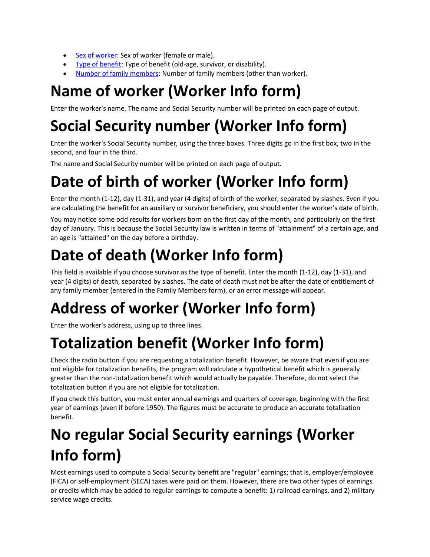- Sex of worker: Sex of worker (female or male).
- Type of benefit: Type of benefit (old-age, survivor, or disability).
- Number of family members: Number of family members (other than worker).

## **Name of worker (Worker Info form)**

Enter the worker's name. The name and Social Security number will be printed on each page of output.

# **Social Security number (Worker Info form)**

Enter the worker's Social Security number, using the three boxes. Three digits go in the first box, two in the second, and four in the third.

The name and Social Security number will be printed on each page of output.

# **Date of birth of worker (Worker Info form)**

Enter the month (1‐12), day (1‐31), and year (4 digits) of birth of the worker, separated by slashes. Even if you are calculating the benefit for an auxiliary or survivor beneficiary, you should enter the worker's date of birth.

You may notice some odd results for workers born on the first day of the month, and particularly on the first day of January. This is because the Social Security law is written in terms of "attainment" of a certain age, and an age is "attained" on the day before a birthday.

# **Date of death (Worker Info form)**

This field is available if you choose survivor as the type of benefit. Enter the month (1‐12), day (1‐31), and year (4 digits) of death, separated by slashes. The date of death must not be after the date of entitlement of any family member (entered in the Family Members form), or an error message will appear.

# **Address of worker (Worker Info form)**

Enter the worker's address, using up to three lines.

# **Totalization benefit (Worker Info form)**

Check the radio button if you are requesting a totalization benefit. However, be aware that even if you are not eligible for totalization benefits, the program will calculate a hypothetical benefit which is generally greater than the non‐totalization benefit which would actually be payable. Therefore, do not select the totalization button if you are not eligible for totalization.

If you check this button, you must enter annual earnings and quarters of coverage, beginning with the first year of earnings (even if before 1950). The figures must be accurate to produce an accurate totalization benefit.

## **No regular Social Security earnings (Worker Info form)**

Most earnings used to compute a Social Security benefit are "regular" earnings; that is, employer/employee (FICA) or self‐employment (SECA) taxes were paid on them. However, there are two other types of earnings or credits which may be added to regular earnings to compute a benefit: 1) railroad earnings, and 2) military service wage credits.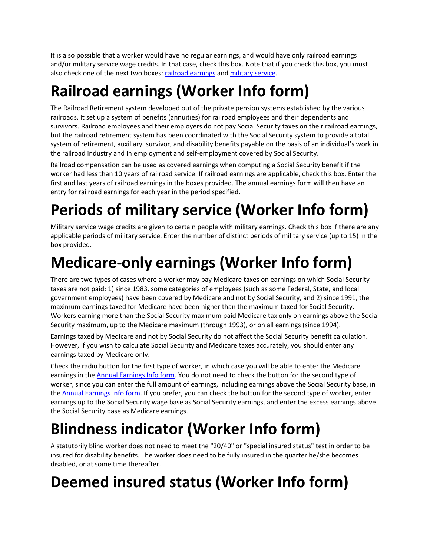It is also possible that a worker would have no regular earnings, and would have only railroad earnings and/or military service wage credits. In that case, check this box. Note that if you check this box, you must also check one of the next two boxes: railroad earnings and military service.

# **Railroad earnings (Worker Info form)**

The Railroad Retirement system developed out of the private pension systems established by the various railroads. It set up a system of benefits (annuities) for railroad employees and their dependents and survivors. Railroad employees and their employers do not pay Social Security taxes on their railroad earnings, but the railroad retirement system has been coordinated with the Social Security system to provide a total system of retirement, auxiliary, survivor, and disability benefits payable on the basis of an individual's work in the railroad industry and in employment and self‐employment covered by Social Security.

Railroad compensation can be used as covered earnings when computing a Social Security benefit if the worker had less than 10 years of railroad service. If railroad earnings are applicable, check this box. Enter the first and last years of railroad earnings in the boxes provided. The annual earnings form will then have an entry for railroad earnings for each year in the period specified.

# **Periods of military service (Worker Info form)**

Military service wage credits are given to certain people with military earnings. Check this box if there are any applicable periods of military service. Enter the number of distinct periods of military service (up to 15) in the box provided.

## **Medicare‐only earnings (Worker Info form)**

There are two types of cases where a worker may pay Medicare taxes on earnings on which Social Security taxes are not paid: 1) since 1983, some categories of employees (such as some Federal, State, and local government employees) have been covered by Medicare and not by Social Security, and 2) since 1991, the maximum earnings taxed for Medicare have been higher than the maximum taxed for Social Security. Workers earning more than the Social Security maximum paid Medicare tax only on earnings above the Social Security maximum, up to the Medicare maximum (through 1993), or on all earnings (since 1994).

Earnings taxed by Medicare and not by Social Security do not affect the Social Security benefit calculation. However, if you wish to calculate Social Security and Medicare taxes accurately, you should enter any earnings taxed by Medicare only.

Check the radio button for the first type of worker, in which case you will be able to enter the Medicare earnings in the Annual Earnings Info form. You do not need to check the button for the second type of worker, since you can enter the full amount of earnings, including earnings above the Social Security base, in the Annual Earnings Info form. If you prefer, you can check the button for the second type of worker, enter earnings up to the Social Security wage base as Social Security earnings, and enter the excess earnings above the Social Security base as Medicare earnings.

# **Blindness indicator (Worker Info form)**

A statutorily blind worker does not need to meet the "20/40" or "special insured status" test in order to be insured for disability benefits. The worker does need to be fully insured in the quarter he/she becomes disabled, or at some time thereafter.

# **Deemed insured status (Worker Info form)**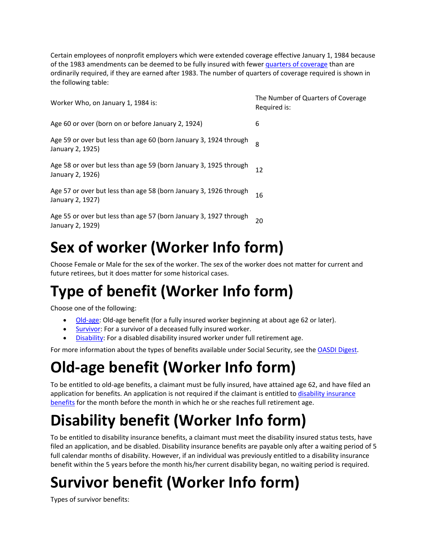Certain employees of nonprofit employers which were extended coverage effective January 1, 1984 because of the 1983 amendments can be deemed to be fully insured with fewer quarters of coverage than are ordinarily required, if they are earned after 1983. The number of quarters of coverage required is shown in the following table:

| Worker Who, on January 1, 1984 is:                                                    | The Number of Quarters of Coverage<br>Required is: |
|---------------------------------------------------------------------------------------|----------------------------------------------------|
| Age 60 or over (born on or before January 2, 1924)                                    | 6                                                  |
| Age 59 or over but less than age 60 (born January 3, 1924 through<br>January 2, 1925) | 8                                                  |
| Age 58 or over but less than age 59 (born January 3, 1925 through<br>January 2, 1926) | 12                                                 |
| Age 57 or over but less than age 58 (born January 3, 1926 through<br>January 2, 1927) | 16                                                 |
| Age 55 or over but less than age 57 (born January 3, 1927 through<br>January 2, 1929) | 20                                                 |
|                                                                                       |                                                    |

## **Sex of worker (Worker Info form)**

Choose Female or Male for the sex of the worker. The sex of the worker does not matter for current and future retirees, but it does matter for some historical cases.

## **Type of benefit (Worker Info form)**

Choose one of the following:

- Old-age: Old-age benefit (for a fully insured worker beginning at about age 62 or later).
- Survivor: For a survivor of a deceased fully insured worker.
- Disability: For a disabled disability insured worker under full retirement age.

For more information about the types of benefits available under Social Security, see the OASDI Digest.

## **Old‐age benefit (Worker Info form)**

To be entitled to old‐age benefits, a claimant must be fully insured, have attained age 62, and have filed an application for benefits. An application is not required if the claimant is entitled to disability insurance benefits for the month before the month in which he or she reaches full retirement age.

# **Disability benefit (Worker Info form)**

To be entitled to disability insurance benefits, a claimant must meet the disability insured status tests, have filed an application, and be disabled. Disability insurance benefits are payable only after a waiting period of 5 full calendar months of disability. However, if an individual was previously entitled to a disability insurance benefit within the 5 years before the month his/her current disability began, no waiting period is required.

# **Survivor benefit (Worker Info form)**

Types of survivor benefits: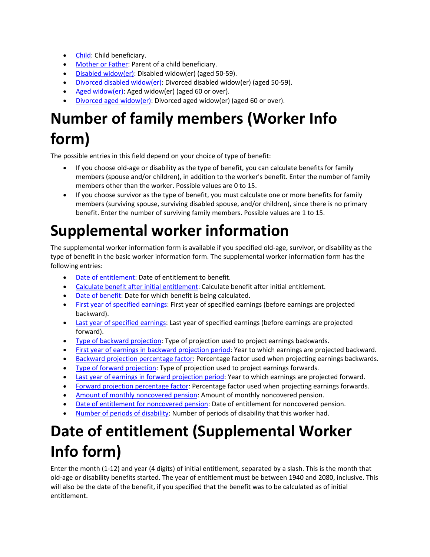- Child: Child beneficiary.
- Mother or Father: Parent of a child beneficiary.
- Disabled widow(er): Disabled widow(er) (aged 50-59).
- Divorced disabled widow(er): Divorced disabled widow(er) (aged 50‐59).
- Aged widow(er): Aged widow(er) (aged 60 or over).
- Divorced aged widow(er): Divorced aged widow(er) (aged 60 or over).

# **Number of family members (Worker Info form)**

The possible entries in this field depend on your choice of type of benefit:

- If you choose old-age or disability as the type of benefit, you can calculate benefits for family members (spouse and/or children), in addition to the worker's benefit. Enter the number of family members other than the worker. Possible values are 0 to 15.
- If you choose survivor as the type of benefit, you must calculate one or more benefits for family members (surviving spouse, surviving disabled spouse, and/or children), since there is no primary benefit. Enter the number of surviving family members. Possible values are 1 to 15.

### **Supplemental worker information**

The supplemental worker information form is available if you specified old‐age, survivor, or disability as the type of benefit in the basic worker information form. The supplemental worker information form has the following entries:

- Date of entitlement: Date of entitlement to benefit.
- Calculate benefit after initial entitlement: Calculate benefit after initial entitlement.
- Date of benefit: Date for which benefit is being calculated.
- First year of specified earnings: First year of specified earnings (before earnings are projected backward).
- Last year of specified earnings: Last year of specified earnings (before earnings are projected forward).
- Type of backward projection: Type of projection used to project earnings backwards.
- First year of earnings in backward projection period: Year to which earnings are projected backward.
- Backward projection percentage factor: Percentage factor used when projecting earnings backwards.
- Type of forward projection: Type of projection used to project earnings forwards.
- Last year of earnings in forward projection period: Year to which earnings are projected forward.
- Forward projection percentage factor: Percentage factor used when projecting earnings forwards.
- Amount of monthly noncovered pension: Amount of monthly noncovered pension.
- Date of entitlement for noncovered pension: Date of entitlement for noncovered pension.
- Number of periods of disability: Number of periods of disability that this worker had.

## **Date of entitlement (Supplemental Worker Info form)**

Enter the month (1-12) and year (4 digits) of initial entitlement, separated by a slash. This is the month that old‐age or disability benefits started. The year of entitlement must be between 1940 and 2080, inclusive. This will also be the date of the benefit, if you specified that the benefit was to be calculated as of initial entitlement.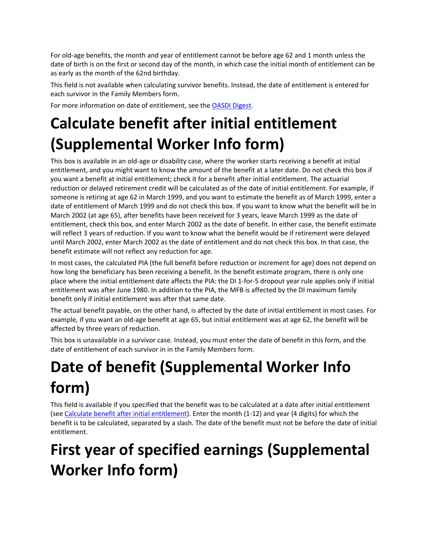For old‐age benefits, the month and year of entitlement cannot be before age 62 and 1 month unless the date of birth is on the first or second day of the month, in which case the initial month of entitlement can be as early as the month of the 62nd birthday.

This field is not available when calculating survivor benefits. Instead, the date of entitlement is entered for each survivor in the Family Members form.

For more information on date of entitlement, see the OASDI Digest.

# **Calculate benefit after initial entitlement (Supplemental Worker Info form)**

This box is available in an old‐age or disability case, where the worker starts receiving a benefit at initial entitlement, and you might want to know the amount of the benefit at a later date. Do not check this box if you want a benefit at initial entitlement; check it for a benefit after initial entitlement. The actuarial reduction or delayed retirement credit will be calculated as of the date of initial entitlement. For example, if someone is retiring at age 62 in March 1999, and you want to estimate the benefit as of March 1999, enter a date of entitlement of March 1999 and do not check this box. If you want to know what the benefit will be in March 2002 (at age 65), after benefits have been received for 3 years, leave March 1999 as the date of entitlement, check this box, and enter March 2002 as the date of benefit. In either case, the benefit estimate will reflect 3 years of reduction. If you want to know what the benefit would be if retirement were delayed until March 2002, enter March 2002 as the date of entitlement and do not check this box. In that case, the benefit estimate will not reflect any reduction for age.

In most cases, the calculated PIA (the full benefit before reduction or increment for age) does not depend on how long the beneficiary has been receiving a benefit. In the benefit estimate program, there is only one place where the initial entitlement date affects the PIA: the DI 1‐for‐5 dropout year rule applies only if initial entitlement was after June 1980. In addition to the PIA, the MFB is affected by the DI maximum family benefit only if initial entitlement was after that same date.

The actual benefit payable, on the other hand, is affected by the date of initial entitlement in most cases. For example, if you want an old‐age benefit at age 65, but initial entitlement was at age 62, the benefit will be affected by three years of reduction.

This box is unavailable in a survivor case. Instead, you must enter the date of benefit in this form, and the date of entitlement of each survivor in in the Family Members form.

# **Date of benefit (Supplemental Worker Info form)**

This field is available if you specified that the benefit was to be calculated at a date after initial entitlement (see Calculate benefit after initial entitlement). Enter the month (1‐12) and year (4 digits) for which the benefit is to be calculated, separated by a slash. The date of the benefit must not be before the date of initial entitlement.

# **First year of specified earnings (Supplemental Worker Info form)**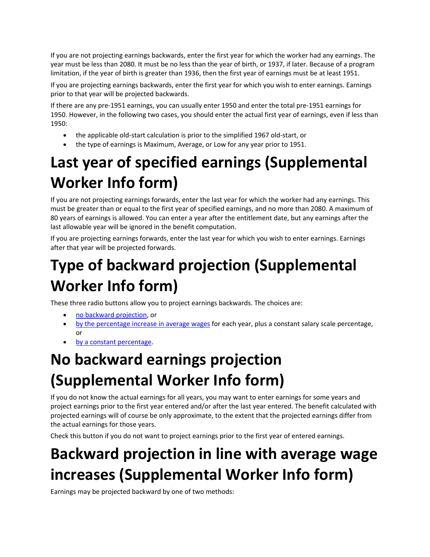If you are not projecting earnings backwards, enter the first year for which the worker had any earnings. The year must be less than 2080. It must be no less than the year of birth, or 1937, if later. Because of a program limitation, if the year of birth is greater than 1936, then the first year of earnings must be at least 1951.

If you are projecting earnings backwards, enter the first year for which you wish to enter earnings. Earnings prior to that year will be projected backwards.

If there are any pre‐1951 earnings, you can usually enter 1950 and enter the total pre‐1951 earnings for 1950. However, in the following two cases, you should enter the actual first year of earnings, even if less than 1950:

- the applicable old‐start calculation is prior to the simplified 1967 old‐start, or
- the type of earnings is Maximum, Average, or Low for any year prior to 1951.

# **Last year of specified earnings (Supplemental Worker Info form)**

If you are not projecting earnings forwards, enter the last year for which the worker had any earnings. This must be greater than or equal to the first year of specified earnings, and no more than 2080. A maximum of 80 years of earnings is allowed. You can enter a year after the entitlement date, but any earnings after the last allowable year will be ignored in the benefit computation.

If you are projecting earnings forwards, enter the last year for which you wish to enter earnings. Earnings after that year will be projected forwards.

# **Type of backward projection (Supplemental Worker Info form)**

These three radio buttons allow you to project earnings backwards. The choices are:

- no backward projection, or
- by the percentage increase in average wages for each year, plus a constant salary scale percentage, or
- by a constant percentage.

# **No backward earnings projection (Supplemental Worker Info form)**

If you do not know the actual earnings for all years, you may want to enter earnings for some years and project earnings prior to the first year entered and/or after the last year entered. The benefit calculated with projected earnings will of course be only approximate, to the extent that the projected earnings differ from the actual earnings for those years.

Check this button if you do not want to project earnings prior to the first year of entered earnings.

# **Backward projection in line with average wage increases (Supplemental Worker Info form)**

Earnings may be projected backward by one of two methods: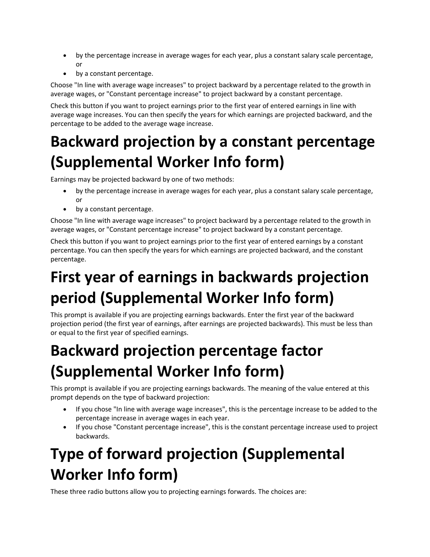- by the percentage increase in average wages for each year, plus a constant salary scale percentage, or
- by a constant percentage.

Choose "In line with average wage increases" to project backward by a percentage related to the growth in average wages, or "Constant percentage increase" to project backward by a constant percentage.

Check this button if you want to project earnings prior to the first year of entered earnings in line with average wage increases. You can then specify the years for which earnings are projected backward, and the percentage to be added to the average wage increase.

## **Backward projection by a constant percentage (Supplemental Worker Info form)**

Earnings may be projected backward by one of two methods:

- by the percentage increase in average wages for each year, plus a constant salary scale percentage, or
- by a constant percentage.

Choose "In line with average wage increases" to project backward by a percentage related to the growth in average wages, or "Constant percentage increase" to project backward by a constant percentage.

Check this button if you want to project earnings prior to the first year of entered earnings by a constant percentage. You can then specify the years for which earnings are projected backward, and the constant percentage.

# **First year of earnings in backwards projection period (Supplemental Worker Info form)**

This prompt is available if you are projecting earnings backwards. Enter the first year of the backward projection period (the first year of earnings, after earnings are projected backwards). This must be less than or equal to the first year of specified earnings.

# **Backward projection percentage factor (Supplemental Worker Info form)**

This prompt is available if you are projecting earnings backwards. The meaning of the value entered at this prompt depends on the type of backward projection:

- If you chose "In line with average wage increases", this is the percentage increase to be added to the percentage increase in average wages in each year.
- If you chose "Constant percentage increase", this is the constant percentage increase used to project backwards.

# **Type of forward projection (Supplemental Worker Info form)**

These three radio buttons allow you to projecting earnings forwards. The choices are: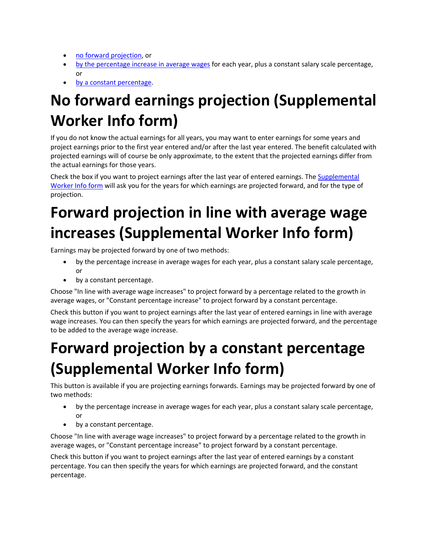- no forward projection, or
- by the percentage increase in average wages for each year, plus a constant salary scale percentage, or
- by a constant percentage.

# **No forward earnings projection (Supplemental Worker Info form)**

If you do not know the actual earnings for all years, you may want to enter earnings for some years and project earnings prior to the first year entered and/or after the last year entered. The benefit calculated with projected earnings will of course be only approximate, to the extent that the projected earnings differ from the actual earnings for those years.

Check the box if you want to project earnings after the last year of entered earnings. The Supplemental Worker Info form will ask you for the years for which earnings are projected forward, and for the type of projection.

# **Forward projection in line with average wage increases (Supplemental Worker Info form)**

Earnings may be projected forward by one of two methods:

- by the percentage increase in average wages for each year, plus a constant salary scale percentage, or
- by a constant percentage.

Choose "In line with average wage increases" to project forward by a percentage related to the growth in average wages, or "Constant percentage increase" to project forward by a constant percentage.

Check this button if you want to project earnings after the last year of entered earnings in line with average wage increases. You can then specify the years for which earnings are projected forward, and the percentage to be added to the average wage increase.

## **Forward projection by a constant percentage (Supplemental Worker Info form)**

This button is available if you are projecting earnings forwards. Earnings may be projected forward by one of two methods:

- by the percentage increase in average wages for each year, plus a constant salary scale percentage, or
- by a constant percentage.

Choose "In line with average wage increases" to project forward by a percentage related to the growth in average wages, or "Constant percentage increase" to project forward by a constant percentage.

Check this button if you want to project earnings after the last year of entered earnings by a constant percentage. You can then specify the years for which earnings are projected forward, and the constant percentage.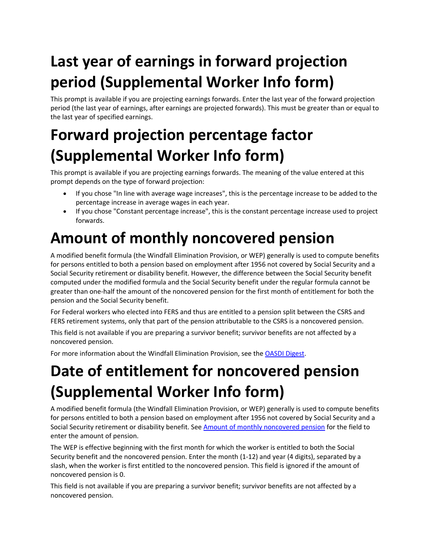# **Last year of earnings in forward projection period (Supplemental Worker Info form)**

This prompt is available if you are projecting earnings forwards. Enter the last year of the forward projection period (the last year of earnings, after earnings are projected forwards). This must be greater than or equal to the last year of specified earnings.

# **Forward projection percentage factor (Supplemental Worker Info form)**

This prompt is available if you are projecting earnings forwards. The meaning of the value entered at this prompt depends on the type of forward projection:

- If you chose "In line with average wage increases", this is the percentage increase to be added to the percentage increase in average wages in each year.
- If you chose "Constant percentage increase", this is the constant percentage increase used to project forwards.

# **Amount of monthly noncovered pension**

A modified benefit formula (the Windfall Elimination Provision, or WEP) generally is used to compute benefits for persons entitled to both a pension based on employment after 1956 not covered by Social Security and a Social Security retirement or disability benefit. However, the difference between the Social Security benefit computed under the modified formula and the Social Security benefit under the regular formula cannot be greater than one‐half the amount of the noncovered pension for the first month of entitlement for both the pension and the Social Security benefit.

For Federal workers who elected into FERS and thus are entitled to a pension split between the CSRS and FERS retirement systems, only that part of the pension attributable to the CSRS is a noncovered pension.

This field is not available if you are preparing a survivor benefit; survivor benefits are not affected by a noncovered pension.

For more information about the Windfall Elimination Provision, see the OASDI Digest.

# **Date of entitlement for noncovered pension (Supplemental Worker Info form)**

A modified benefit formula (the Windfall Elimination Provision, or WEP) generally is used to compute benefits for persons entitled to both a pension based on employment after 1956 not covered by Social Security and a Social Security retirement or disability benefit. See Amount of monthly noncovered pension for the field to enter the amount of pension.

The WEP is effective beginning with the first month for which the worker is entitled to both the Social Security benefit and the noncovered pension. Enter the month (1‐12) and year (4 digits), separated by a slash, when the worker is first entitled to the noncovered pension. This field is ignored if the amount of noncovered pension is 0.

This field is not available if you are preparing a survivor benefit; survivor benefits are not affected by a noncovered pension.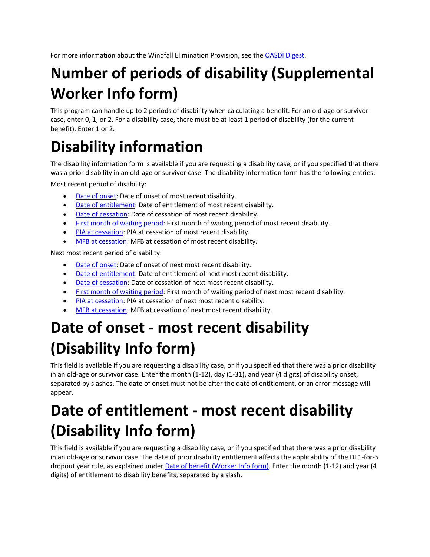For more information about the Windfall Elimination Provision, see the OASDI Digest.

## **Number of periods of disability (Supplemental Worker Info form)**

This program can handle up to 2 periods of disability when calculating a benefit. For an old‐age or survivor case, enter 0, 1, or 2. For a disability case, there must be at least 1 period of disability (for the current benefit). Enter 1 or 2.

## **Disability information**

The disability information form is available if you are requesting a disability case, or if you specified that there was a prior disability in an old-age or survivor case. The disability information form has the following entries:

Most recent period of disability:

- Date of onset: Date of onset of most recent disability.
- Date of entitlement: Date of entitlement of most recent disability.
- Date of cessation: Date of cessation of most recent disability.
- **First month of waiting period: First month of waiting period of most recent disability.**
- PIA at cessation: PIA at cessation of most recent disability.
- MFB at cessation: MFB at cessation of most recent disability.

Next most recent period of disability:

- Date of onset: Date of onset of next most recent disability.
- Date of entitlement: Date of entitlement of next most recent disability.
- Date of cessation: Date of cessation of next most recent disability.
- First month of waiting period: First month of waiting period of next most recent disability.
- PIA at cessation: PIA at cessation of next most recent disability.
- MFB at cessation: MFB at cessation of next most recent disability.

# **Date of onset ‐ most recent disability (Disability Info form)**

This field is available if you are requesting a disability case, or if you specified that there was a prior disability in an old‐age or survivor case. Enter the month (1‐12), day (1‐31), and year (4 digits) of disability onset, separated by slashes. The date of onset must not be after the date of entitlement, or an error message will appear.

# **Date of entitlement ‐ most recent disability (Disability Info form)**

This field is available if you are requesting a disability case, or if you specified that there was a prior disability in an old‐age or survivor case. The date of prior disability entitlement affects the applicability of the DI 1‐for‐5 dropout year rule, as explained under Date of benefit (Worker Info form). Enter the month (1‐12) and year (4 digits) of entitlement to disability benefits, separated by a slash.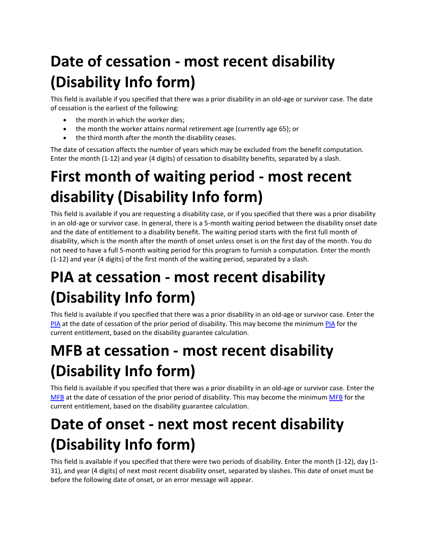# **Date of cessation ‐ most recent disability (Disability Info form)**

This field is available if you specified that there was a prior disability in an old‐age or survivor case. The date of cessation is the earliest of the following:

- the month in which the worker dies;
- the month the worker attains normal retirement age (currently age 65); or
- the third month after the month the disability ceases.

The date of cessation affects the number of years which may be excluded from the benefit computation. Enter the month (1-12) and year (4 digits) of cessation to disability benefits, separated by a slash.

# **First month of waiting period ‐ most recent disability (Disability Info form)**

This field is available if you are requesting a disability case, or if you specified that there was a prior disability in an old‐age or survivor case. In general, there is a 5‐month waiting period between the disability onset date and the date of entitlement to a disability benefit. The waiting period starts with the first full month of disability, which is the month after the month of onset unless onset is on the first day of the month. You do not need to have a full 5‐month waiting period for this program to furnish a computation. Enter the month (1‐12) and year (4 digits) of the first month of the waiting period, separated by a slash.

# **PIA at cessation ‐ most recent disability (Disability Info form)**

This field is available if you specified that there was a prior disability in an old-age or survivor case. Enter the PIA at the date of cessation of the prior period of disability. This may become the minimum PIA for the current entitlement, based on the disability guarantee calculation.

# **MFB at cessation ‐ most recent disability (Disability Info form)**

This field is available if you specified that there was a prior disability in an old-age or survivor case. Enter the MFB at the date of cessation of the prior period of disability. This may become the minimum MFB for the current entitlement, based on the disability guarantee calculation.

# **Date of onset ‐ next most recent disability (Disability Info form)**

This field is available if you specified that there were two periods of disability. Enter the month (1‐12), day (1‐ 31), and year (4 digits) of next most recent disability onset, separated by slashes. This date of onset must be before the following date of onset, or an error message will appear.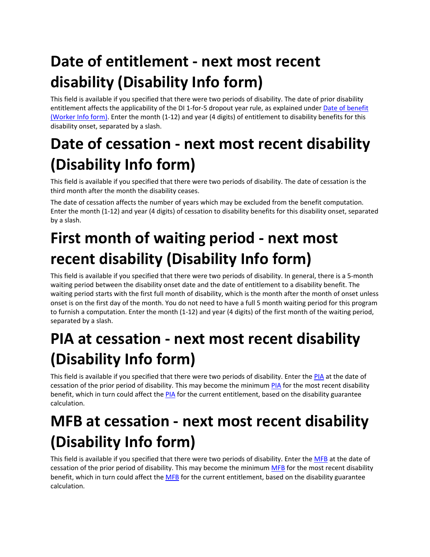# **Date of entitlement ‐ next most recent disability (Disability Info form)**

This field is available if you specified that there were two periods of disability. The date of prior disability entitlement affects the applicability of the DI 1-for-5 dropout year rule, as explained under Date of benefit (Worker Info form). Enter the month (1‐12) and year (4 digits) of entitlement to disability benefits for this disability onset, separated by a slash.

# **Date of cessation ‐ next most recent disability (Disability Info form)**

This field is available if you specified that there were two periods of disability. The date of cessation is the third month after the month the disability ceases.

The date of cessation affects the number of years which may be excluded from the benefit computation. Enter the month (1‐12) and year (4 digits) of cessation to disability benefits for this disability onset, separated by a slash.

# **First month of waiting period ‐ next most recent disability (Disability Info form)**

This field is available if you specified that there were two periods of disability. In general, there is a 5-month waiting period between the disability onset date and the date of entitlement to a disability benefit. The waiting period starts with the first full month of disability, which is the month after the month of onset unless onset is on the first day of the month. You do not need to have a full 5 month waiting period for this program to furnish a computation. Enter the month (1‐12) and year (4 digits) of the first month of the waiting period, separated by a slash.

# **PIA at cessation ‐ next most recent disability (Disability Info form)**

This field is available if you specified that there were two periods of disability. Enter the PIA at the date of cessation of the prior period of disability. This may become the minimum PIA for the most recent disability benefit, which in turn could affect the PIA for the current entitlement, based on the disability guarantee calculation.

# **MFB at cessation ‐ next most recent disability (Disability Info form)**

This field is available if you specified that there were two periods of disability. Enter the MFB at the date of cessation of the prior period of disability. This may become the minimum MFB for the most recent disability benefit, which in turn could affect the MFB for the current entitlement, based on the disability guarantee calculation.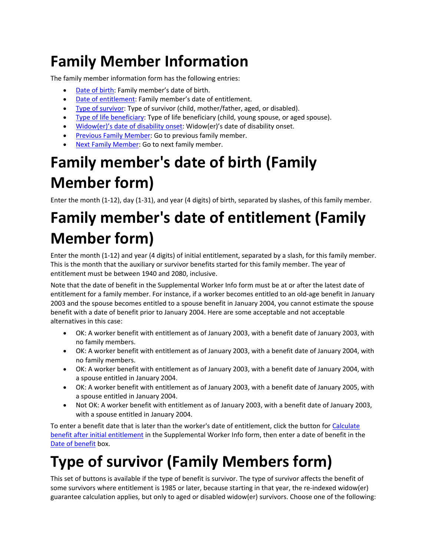# **Family Member Information**

The family member information form has the following entries:

- Date of birth: Family member's date of birth.
- Date of entitlement: Family member's date of entitlement.
- Type of survivor: Type of survivor (child, mother/father, aged, or disabled).
- Type of life beneficiary: Type of life beneficiary (child, young spouse, or aged spouse).
- Widow(er)'s date of disability onset: Widow(er)'s date of disability onset.
- Previous Family Member: Go to previous family member.
- Next Family Member: Go to next family member.

# **Family member's date of birth (Family Member form)**

Enter the month (1-12), day (1-31), and year (4 digits) of birth, separated by slashes, of this family member.

# **Family member's date of entitlement (Family Member form)**

Enter the month (1-12) and year (4 digits) of initial entitlement, separated by a slash, for this family member. This is the month that the auxiliary or survivor benefits started for this family member. The year of entitlement must be between 1940 and 2080, inclusive.

Note that the date of benefit in the Supplemental Worker Info form must be at or after the latest date of entitlement for a family member. For instance, if a worker becomes entitled to an old‐age benefit in January 2003 and the spouse becomes entitled to a spouse benefit in January 2004, you cannot estimate the spouse benefit with a date of benefit prior to January 2004. Here are some acceptable and not acceptable alternatives in this case:

- OK: A worker benefit with entitlement as of January 2003, with a benefit date of January 2003, with no family members.
- OK: A worker benefit with entitlement as of January 2003, with a benefit date of January 2004, with no family members.
- OK: A worker benefit with entitlement as of January 2003, with a benefit date of January 2004, with a spouse entitled in January 2004.
- OK: A worker benefit with entitlement as of January 2003, with a benefit date of January 2005, with a spouse entitled in January 2004.
- Not OK: A worker benefit with entitlement as of January 2003, with a benefit date of January 2003, with a spouse entitled in January 2004.

To enter a benefit date that is later than the worker's date of entitlement, click the button for Calculate benefit after initial entitlement in the Supplemental Worker Info form, then enter a date of benefit in the Date of benefit box.

# **Type of survivor (Family Members form)**

This set of buttons is available if the type of benefit is survivor. The type of survivor affects the benefit of some survivors where entitlement is 1985 or later, because starting in that year, the re-indexed widow(er) guarantee calculation applies, but only to aged or disabled widow(er) survivors. Choose one of the following: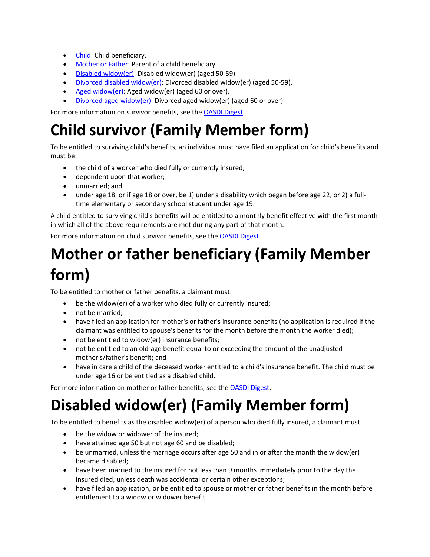- Child: Child beneficiary.
- Mother or Father: Parent of a child beneficiary.
- Disabled widow(er): Disabled widow(er) (aged 50-59).
- Divorced disabled widow(er): Divorced disabled widow(er) (aged 50‐59).
- Aged widow(er): Aged widow(er) (aged 60 or over).
- Divorced aged widow(er): Divorced aged widow(er) (aged 60 or over).

For more information on survivor benefits, see the OASDI Digest.

## **Child survivor (Family Member form)**

To be entitled to surviving child's benefits, an individual must have filed an application for child's benefits and must be:

- the child of a worker who died fully or currently insured;
- dependent upon that worker;
- unmarried; and
- under age 18, or if age 18 or over, be 1) under a disability which began before age 22, or 2) a full– time elementary or secondary school student under age 19.

A child entitled to surviving child's benefits will be entitled to a monthly benefit effective with the first month in which all of the above requirements are met during any part of that month.

For more information on child survivor benefits, see the OASDI Digest.

# **Mother or father beneficiary (Family Member form)**

To be entitled to mother or father benefits, a claimant must:

- be the widow(er) of a worker who died fully or currently insured;
- not be married;
- have filed an application for mother's or father's insurance benefits (no application is required if the claimant was entitled to spouse's benefits for the month before the month the worker died);
- not be entitled to widow(er) insurance benefits;
- not be entitled to an old-age benefit equal to or exceeding the amount of the unadjusted mother's/father's benefit; and
- have in care a child of the deceased worker entitled to a child's insurance benefit. The child must be under age 16 or be entitled as a disabled child.

For more information on mother or father benefits, see the OASDI Digest.

# **Disabled widow(er) (Family Member form)**

To be entitled to benefits as the disabled widow(er) of a person who died fully insured, a claimant must:

- be the widow or widower of the insured;
- have attained age 50 but not age 60 and be disabled;
- be unmarried, unless the marriage occurs after age 50 and in or after the month the widow(er) became disabled;
- have been married to the insured for not less than 9 months immediately prior to the day the insured died, unless death was accidental or certain other exceptions;
- have filed an application, or be entitled to spouse or mother or father benefits in the month before entitlement to a widow or widower benefit.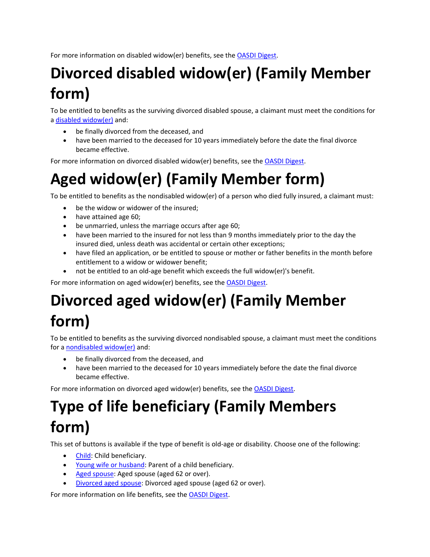For more information on disabled widow(er) benefits, see the OASDI Digest.

# **Divorced disabled widow(er) (Family Member form)**

To be entitled to benefits as the surviving divorced disabled spouse, a claimant must meet the conditions for a disabled widow(er) and:

- be finally divorced from the deceased, and
- have been married to the deceased for 10 years immediately before the date the final divorce became effective.

For more information on divorced disabled widow(er) benefits, see the OASDI Digest.

## **Aged widow(er) (Family Member form)**

To be entitled to benefits as the nondisabled widow(er) of a person who died fully insured, a claimant must:

- be the widow or widower of the insured;
- have attained age 60;
- be unmarried, unless the marriage occurs after age 60;
- have been married to the insured for not less than 9 months immediately prior to the day the insured died, unless death was accidental or certain other exceptions;
- have filed an application, or be entitled to spouse or mother or father benefits in the month before entitlement to a widow or widower benefit;
- not be entitled to an old‐age benefit which exceeds the full widow(er)'s benefit.

For more information on aged widow(er) benefits, see the OASDI Digest.

## **Divorced aged widow(er) (Family Member form)**

To be entitled to benefits as the surviving divorced nondisabled spouse, a claimant must meet the conditions for a nondisabled widow(er) and:

- be finally divorced from the deceased, and
- have been married to the deceased for 10 years immediately before the date the final divorce became effective.

For more information on divorced aged widow(er) benefits, see the OASDI Digest.

## **Type of life beneficiary (Family Members form)**

This set of buttons is available if the type of benefit is old‐age or disability. Choose one of the following:

- Child: Child beneficiary.
- Young wife or husband: Parent of a child beneficiary.
- Aged spouse: Aged spouse (aged 62 or over).
- Divorced aged spouse: Divorced aged spouse (aged 62 or over).

For more information on life benefits, see the OASDI Digest.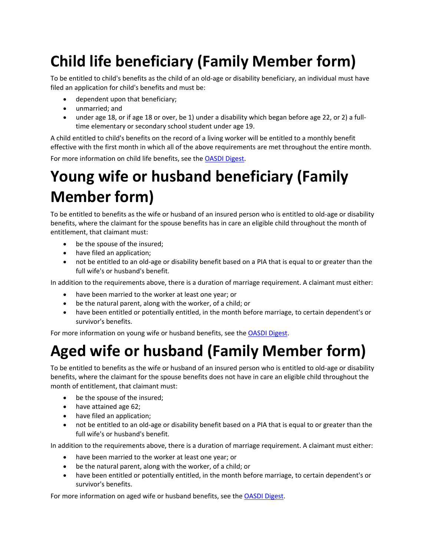# **Child life beneficiary (Family Member form)**

To be entitled to child's benefits as the child of an old‐age or disability beneficiary, an individual must have filed an application for child's benefits and must be:

- dependent upon that beneficiary;
- unmarried; and
- under age 18, or if age 18 or over, be 1) under a disability which began before age 22, or 2) a fulltime elementary or secondary school student under age 19.

A child entitled to child's benefits on the record of a living worker will be entitled to a monthly benefit effective with the first month in which all of the above requirements are met throughout the entire month.

For more information on child life benefits, see the OASDI Digest.

## **Young wife or husband beneficiary (Family Member form)**

To be entitled to benefits as the wife or husband of an insured person who is entitled to old‐age or disability benefits, where the claimant for the spouse benefits has in care an eligible child throughout the month of entitlement, that claimant must:

- be the spouse of the insured;
- have filed an application;
- not be entitled to an old-age or disability benefit based on a PIA that is equal to or greater than the full wife's or husband's benefit.

In addition to the requirements above, there is a duration of marriage requirement. A claimant must either:

- have been married to the worker at least one year; or
- be the natural parent, along with the worker, of a child; or
- have been entitled or potentially entitled, in the month before marriage, to certain dependent's or survivor's benefits.

For more information on young wife or husband benefits, see the OASDI Digest.

## **Aged wife or husband (Family Member form)**

To be entitled to benefits as the wife or husband of an insured person who is entitled to old‐age or disability benefits, where the claimant for the spouse benefits does not have in care an eligible child throughout the month of entitlement, that claimant must:

- be the spouse of the insured;
- have attained age 62;
- have filed an application;
- not be entitled to an old-age or disability benefit based on a PIA that is equal to or greater than the full wife's or husband's benefit.

In addition to the requirements above, there is a duration of marriage requirement. A claimant must either:

- have been married to the worker at least one year; or
- be the natural parent, along with the worker, of a child; or
- have been entitled or potentially entitled, in the month before marriage, to certain dependent's or survivor's benefits.

For more information on aged wife or husband benefits, see the OASDI Digest.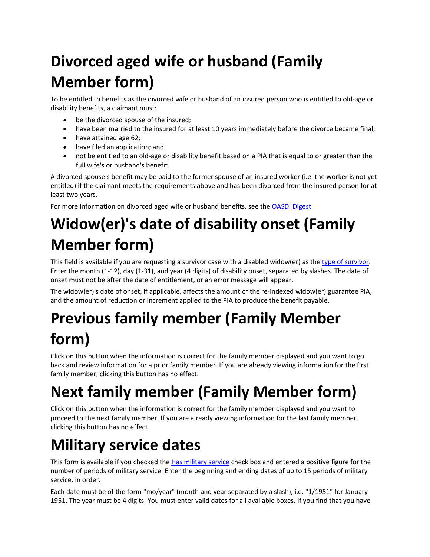# **Divorced aged wife or husband (Family Member form)**

To be entitled to benefits as the divorced wife or husband of an insured person who is entitled to old‐age or disability benefits, a claimant must:

- be the divorced spouse of the insured;
- have been married to the insured for at least 10 years immediately before the divorce became final;
- have attained age 62;
- have filed an application; and
- not be entitled to an old‐age or disability benefit based on a PIA that is equal to or greater than the full wife's or husband's benefit.

A divorced spouse's benefit may be paid to the former spouse of an insured worker (i.e. the worker is not yet entitled) if the claimant meets the requirements above and has been divorced from the insured person for at least two years.

For more information on divorced aged wife or husband benefits, see the OASDI Digest.

# **Widow(er)'s date of disability onset (Family Member form)**

This field is available if you are requesting a survivor case with a disabled widow(er) as the type of survivor. Enter the month (1‐12), day (1‐31), and year (4 digits) of disability onset, separated by slashes. The date of onset must not be after the date of entitlement, or an error message will appear.

The widow(er)'s date of onset, if applicable, affects the amount of the re-indexed widow(er) guarantee PIA, and the amount of reduction or increment applied to the PIA to produce the benefit payable.

# **Previous family member (Family Member form)**

Click on this button when the information is correct for the family member displayed and you want to go back and review information for a prior family member. If you are already viewing information for the first family member, clicking this button has no effect.

# **Next family member (Family Member form)**

Click on this button when the information is correct for the family member displayed and you want to proceed to the next family member. If you are already viewing information for the last family member, clicking this button has no effect.

## **Military service dates**

This form is available if you checked the Has military service check box and entered a positive figure for the number of periods of military service. Enter the beginning and ending dates of up to 15 periods of military service, in order.

Each date must be of the form "mo/year" (month and year separated by a slash), i.e. "1/1951" for January 1951. The year must be 4 digits. You must enter valid dates for all available boxes. If you find that you have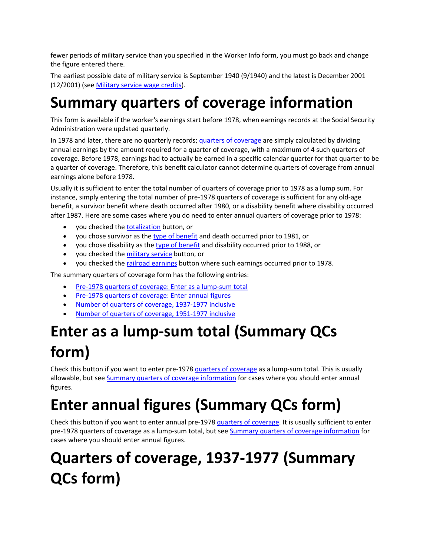fewer periods of military service than you specified in the Worker Info form, you must go back and change the figure entered there.

The earliest possible date of military service is September 1940 (9/1940) and the latest is December 2001 (12/2001) (see Military service wage credits).

### **Summary quarters of coverage information**

This form is available if the worker's earnings start before 1978, when earnings records at the Social Security Administration were updated quarterly.

In 1978 and later, there are no quarterly records; quarters of coverage are simply calculated by dividing annual earnings by the amount required for a quarter of coverage, with a maximum of 4 such quarters of coverage. Before 1978, earnings had to actually be earned in a specific calendar quarter for that quarter to be a quarter of coverage. Therefore, this benefit calculator cannot determine quarters of coverage from annual earnings alone before 1978.

Usually it is sufficient to enter the total number of quarters of coverage prior to 1978 as a lump sum. For instance, simply entering the total number of pre-1978 quarters of coverage is sufficient for any old-age benefit, a survivor benefit where death occurred after 1980, or a disability benefit where disability occurred after 1987. Here are some cases where you do need to enter annual quarters of coverage prior to 1978:

- you checked the totalization button, or
- you chose survivor as the type of benefit and death occurred prior to 1981, or
- you chose disability as the type of benefit and disability occurred prior to 1988, or
- you checked the military service button, or
- you checked the railroad earnings button where such earnings occurred prior to 1978.

The summary quarters of coverage form has the following entries:

- Pre-1978 quarters of coverage: Enter as a lump-sum total
- Pre-1978 quarters of coverage: Enter annual figures
- Number of quarters of coverage, 1937-1977 inclusive
- Number of quarters of coverage, 1951‐1977 inclusive

### **Enter as a lump‐sum total (Summary QCs form)**

Check this button if you want to enter pre‐1978 quarters of coverage as a lump‐sum total. This is usually allowable, but see Summary quarters of coverage information for cases where you should enter annual figures.

## **Enter annual figures (Summary QCs form)**

Check this button if you want to enter annual pre‐1978 quarters of coverage. It is usually sufficient to enter pre-1978 quarters of coverage as a lump-sum total, but see Summary quarters of coverage information for cases where you should enter annual figures.

## **Quarters of coverage, 1937‐1977 (Summary QCs form)**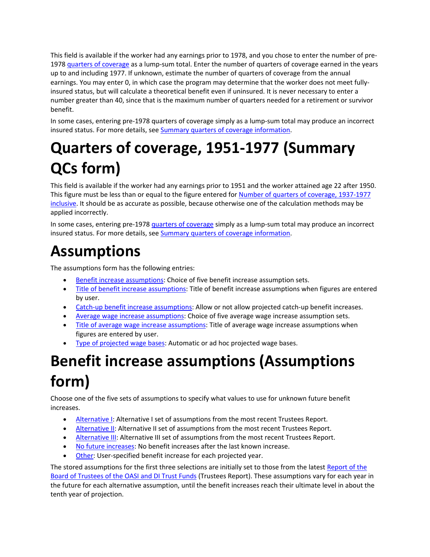This field is available if the worker had any earnings prior to 1978, and you chose to enter the number of pre‐ 1978 quarters of coverage as a lump-sum total. Enter the number of quarters of coverage earned in the years up to and including 1977. If unknown, estimate the number of quarters of coverage from the annual earnings. You may enter 0, in which case the program may determine that the worker does not meet fullyinsured status, but will calculate a theoretical benefit even if uninsured. It is never necessary to enter a number greater than 40, since that is the maximum number of quarters needed for a retirement or survivor benefit.

In some cases, entering pre-1978 quarters of coverage simply as a lump-sum total may produce an incorrect insured status. For more details, see Summary quarters of coverage information.

# **Quarters of coverage, 1951‐1977 (Summary QCs form)**

This field is available if the worker had any earnings prior to 1951 and the worker attained age 22 after 1950. This figure must be less than or equal to the figure entered for Number of quarters of coverage, 1937‐1977 inclusive. It should be as accurate as possible, because otherwise one of the calculation methods may be applied incorrectly.

In some cases, entering pre-1978 quarters of coverage simply as a lump-sum total may produce an incorrect insured status. For more details, see Summary quarters of coverage information.

### **Assumptions**

The assumptions form has the following entries:

- Benefit increase assumptions: Choice of five benefit increase assumption sets.
- Title of benefit increase assumptions: Title of benefit increase assumptions when figures are entered by user.
- Catch-up benefit increase assumptions: Allow or not allow projected catch-up benefit increases.
- Average wage increase assumptions: Choice of five average wage increase assumption sets.
- Title of average wage increase assumptions: Title of average wage increase assumptions when figures are entered by user.
- Type of projected wage bases: Automatic or ad hoc projected wage bases.

# **Benefit increase assumptions (Assumptions form)**

Choose one of the five sets of assumptions to specify what values to use for unknown future benefit increases.

- Alternative I: Alternative I set of assumptions from the most recent Trustees Report.
- Alternative II: Alternative II set of assumptions from the most recent Trustees Report.
- Alternative III: Alternative III set of assumptions from the most recent Trustees Report.
- No future increases: No benefit increases after the last known increase.
- Other: User-specified benefit increase for each projected year.

The stored assumptions for the first three selections are initially set to those from the latest Report of the Board of Trustees of the OASI and DI Trust Funds (Trustees Report). These assumptions vary for each year in the future for each alternative assumption, until the benefit increases reach their ultimate level in about the tenth year of projection.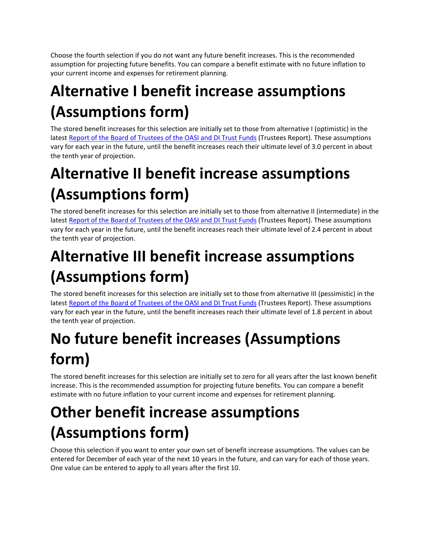Choose the fourth selection if you do not want any future benefit increases. This is the recommended assumption for projecting future benefits. You can compare a benefit estimate with no future inflation to your current income and expenses for retirement planning.

## **Alternative I benefit increase assumptions (Assumptions form)**

The stored benefit increases for this selection are initially set to those from alternative I (optimistic) in the latest Report of the Board of Trustees of the OASI and DI Trust Funds (Trustees Report). These assumptions vary for each year in the future, until the benefit increases reach their ultimate level of 3.0 percent in about the tenth year of projection.

# **Alternative II benefit increase assumptions (Assumptions form)**

The stored benefit increases for this selection are initially set to those from alternative II (intermediate) in the latest Report of the Board of Trustees of the OASI and DI Trust Funds (Trustees Report). These assumptions vary for each year in the future, until the benefit increases reach their ultimate level of 2.4 percent in about the tenth year of projection.

## **Alternative III benefit increase assumptions (Assumptions form)**

The stored benefit increases for this selection are initially set to those from alternative III (pessimistic) in the latest Report of the Board of Trustees of the OASI and DI Trust Funds (Trustees Report). These assumptions vary for each year in the future, until the benefit increases reach their ultimate level of 1.8 percent in about the tenth year of projection.

# **No future benefit increases (Assumptions form)**

The stored benefit increases for this selection are initially set to zero for all years after the last known benefit increase. This is the recommended assumption for projecting future benefits. You can compare a benefit estimate with no future inflation to your current income and expenses for retirement planning.

## **Other benefit increase assumptions (Assumptions form)**

Choose this selection if you want to enter your own set of benefit increase assumptions. The values can be entered for December of each year of the next 10 years in the future, and can vary for each of those years. One value can be entered to apply to all years after the first 10.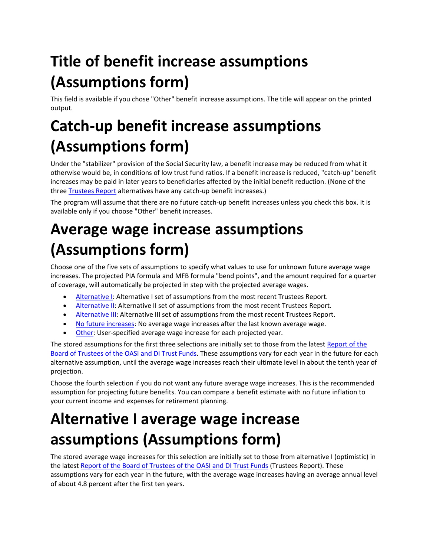# **Title of benefit increase assumptions (Assumptions form)**

This field is available if you chose "Other" benefit increase assumptions. The title will appear on the printed output.

## **Catch‐up benefit increase assumptions (Assumptions form)**

Under the "stabilizer" provision of the Social Security law, a benefit increase may be reduced from what it otherwise would be, in conditions of low trust fund ratios. If a benefit increase is reduced, "catch‐up" benefit increases may be paid in later years to beneficiaries affected by the initial benefit reduction. (None of the three Trustees Report alternatives have any catch‐up benefit increases.)

The program will assume that there are no future catch-up benefit increases unless you check this box. It is available only if you choose "Other" benefit increases.

# **Average wage increase assumptions (Assumptions form)**

Choose one of the five sets of assumptions to specify what values to use for unknown future average wage increases. The projected PIA formula and MFB formula "bend points", and the amount required for a quarter of coverage, will automatically be projected in step with the projected average wages.

- Alternative I: Alternative I set of assumptions from the most recent Trustees Report.
- **Alternative II:** Alternative II set of assumptions from the most recent Trustees Report.
- Alternative III: Alternative III set of assumptions from the most recent Trustees Report.
- No future increases: No average wage increases after the last known average wage.
- Other: User‐specified average wage increase for each projected year.

The stored assumptions for the first three selections are initially set to those from the latest Report of the Board of Trustees of the OASI and DI Trust Funds. These assumptions vary for each year in the future for each alternative assumption, until the average wage increases reach their ultimate level in about the tenth year of projection.

Choose the fourth selection if you do not want any future average wage increases. This is the recommended assumption for projecting future benefits. You can compare a benefit estimate with no future inflation to your current income and expenses for retirement planning.

## **Alternative I average wage increase assumptions (Assumptions form)**

The stored average wage increases for this selection are initially set to those from alternative I (optimistic) in the latest Report of the Board of Trustees of the OASI and DI Trust Funds (Trustees Report). These assumptions vary for each year in the future, with the average wage increases having an average annual level of about 4.8 percent after the first ten years.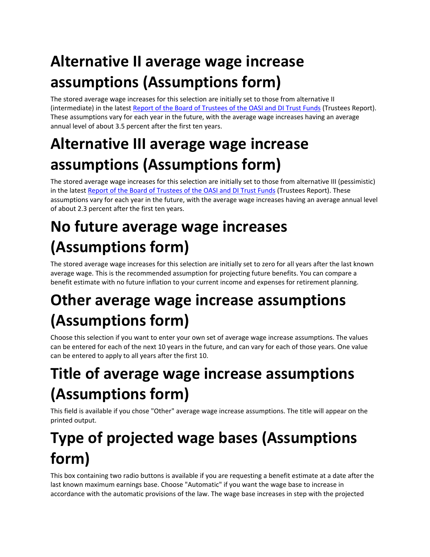# **Alternative II average wage increase assumptions (Assumptions form)**

The stored average wage increases for this selection are initially set to those from alternative II (intermediate) in the latest Report of the Board of Trustees of the OASI and DI Trust Funds (Trustees Report). These assumptions vary for each year in the future, with the average wage increases having an average annual level of about 3.5 percent after the first ten years.

## **Alternative III average wage increase assumptions (Assumptions form)**

The stored average wage increases for this selection are initially set to those from alternative III (pessimistic) in the latest Report of the Board of Trustees of the OASI and DI Trust Funds (Trustees Report). These assumptions vary for each year in the future, with the average wage increases having an average annual level of about 2.3 percent after the first ten years.

# **No future average wage increases (Assumptions form)**

The stored average wage increases for this selection are initially set to zero for all years after the last known average wage. This is the recommended assumption for projecting future benefits. You can compare a benefit estimate with no future inflation to your current income and expenses for retirement planning.

## **Other average wage increase assumptions (Assumptions form)**

Choose this selection if you want to enter your own set of average wage increase assumptions. The values can be entered for each of the next 10 years in the future, and can vary for each of those years. One value can be entered to apply to all years after the first 10.

# **Title of average wage increase assumptions (Assumptions form)**

This field is available if you chose "Other" average wage increase assumptions. The title will appear on the printed output.

# **Type of projected wage bases (Assumptions form)**

This box containing two radio buttons is available if you are requesting a benefit estimate at a date after the last known maximum earnings base. Choose "Automatic" if you want the wage base to increase in accordance with the automatic provisions of the law. The wage base increases in step with the projected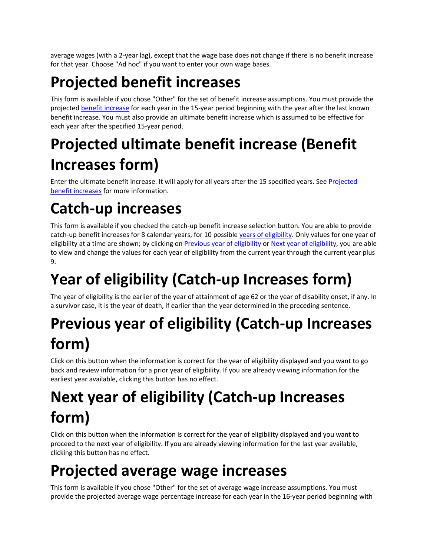average wages (with a 2‐year lag), except that the wage base does not change if there is no benefit increase for that year. Choose "Ad hoc" if you want to enter your own wage bases.

# **Projected benefit increases**

This form is available if you chose "Other" for the set of benefit increase assumptions. You must provide the projected benefit increase for each year in the 15-year period beginning with the year after the last known benefit increase. You must also provide an ultimate benefit increase which is assumed to be effective for each year after the specified 15‐year period.

# **Projected ultimate benefit increase (Benefit Increases form)**

Enter the ultimate benefit increase. It will apply for all years after the 15 specified years. See Projected benefit increases for more information.

# **Catch‐up increases**

This form is available if you checked the catch‐up benefit increase selection button. You are able to provide catch-up benefit increases for 8 calendar years, for 10 possible years of eligibility. Only values for one year of eligibility at a time are shown; by clicking on Previous year of eligibility or Next year of eligibility, you are able to view and change the values for each year of eligibility from the current year through the current year plus 9.

# **Year of eligibility (Catch‐up Increases form)**

The year of eligibility is the earlier of the year of attainment of age 62 or the year of disability onset, if any. In a survivor case, it is the year of death, if earlier than the year determined in the preceding sentence.

# **Previous year of eligibility (Catch‐up Increases form)**

Click on this button when the information is correct for the year of eligibility displayed and you want to go back and review information for a prior year of eligibility. If you are already viewing information for the earliest year available, clicking this button has no effect.

# **Next year of eligibility (Catch‐up Increases form)**

Click on this button when the information is correct for the year of eligibility displayed and you want to proceed to the next year of eligibility. If you are already viewing information for the last year available, clicking this button has no effect.

## **Projected average wage increases**

This form is available if you chose "Other" for the set of average wage increase assumptions. You must provide the projected average wage percentage increase for each year in the 16‐year period beginning with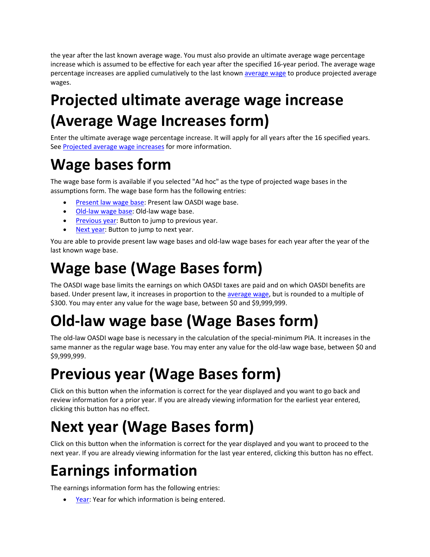the year after the last known average wage. You must also provide an ultimate average wage percentage increase which is assumed to be effective for each year after the specified 16‐year period. The average wage percentage increases are applied cumulatively to the last known average wage to produce projected average wages.

## **Projected ultimate average wage increase (Average Wage Increases form)**

Enter the ultimate average wage percentage increase. It will apply for all years after the 16 specified years. See Projected average wage increases for more information.

### **Wage bases form**

The wage base form is available if you selected "Ad hoc" as the type of projected wage bases in the assumptions form. The wage base form has the following entries:

- Present law wage base: Present law OASDI wage base.
- Old-law wage base: Old-law wage base.
- **Previous year:** Button to jump to previous year.
- Next year: Button to jump to next year.

You are able to provide present law wage bases and old-law wage bases for each year after the year of the last known wage base.

### **Wage base (Wage Bases form)**

The OASDI wage base limits the earnings on which OASDI taxes are paid and on which OASDI benefits are based. Under present law, it increases in proportion to the average wage, but is rounded to a multiple of \$300. You may enter any value for the wage base, between \$0 and \$9,999,999.

## **Old‐law wage base (Wage Bases form)**

The old-law OASDI wage base is necessary in the calculation of the special-minimum PIA. It increases in the same manner as the regular wage base. You may enter any value for the old-law wage base, between \$0 and \$9,999,999.

## **Previous year (Wage Bases form)**

Click on this button when the information is correct for the year displayed and you want to go back and review information for a prior year. If you are already viewing information for the earliest year entered, clicking this button has no effect.

## **Next year (Wage Bases form)**

Click on this button when the information is correct for the year displayed and you want to proceed to the next year. If you are already viewing information for the last year entered, clicking this button has no effect.

## **Earnings information**

The earnings information form has the following entries:

Year: Year for which information is being entered.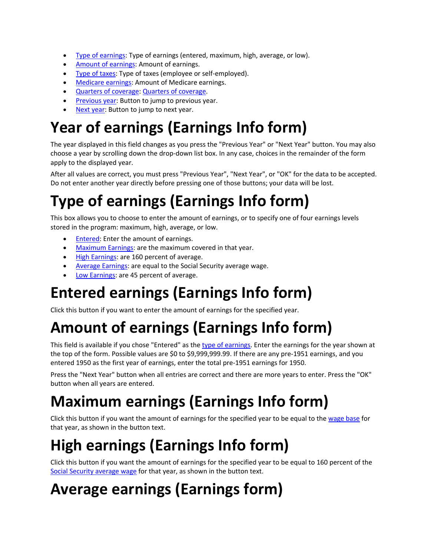- Type of earnings: Type of earnings (entered, maximum, high, average, or low).
- Amount of earnings: Amount of earnings.
- Type of taxes: Type of taxes (employee or self-employed).
- Medicare earnings: Amount of Medicare earnings.
- Quarters of coverage: Quarters of coverage.
- **Previous year:** Button to jump to previous year.
- Next year: Button to jump to next year.

## **Year of earnings (Earnings Info form)**

The year displayed in this field changes as you press the "Previous Year" or "Next Year" button. You may also choose a year by scrolling down the drop‐down list box. In any case, choices in the remainder of the form apply to the displayed year.

After all values are correct, you must press "Previous Year", "Next Year", or "OK" for the data to be accepted. Do not enter another year directly before pressing one of those buttons; your data will be lost.

## **Type of earnings (Earnings Info form)**

This box allows you to choose to enter the amount of earnings, or to specify one of four earnings levels stored in the program: maximum, high, average, or low.

- **Entered:** Enter the amount of earnings.
- Maximum Earnings: are the maximum covered in that year.
- High Earnings: are 160 percent of average.
- Average Earnings: are equal to the Social Security average wage.
- Low Earnings: are 45 percent of average.

### **Entered earnings (Earnings Info form)**

Click this button if you want to enter the amount of earnings for the specified year.

## **Amount of earnings (Earnings Info form)**

This field is available if you chose "Entered" as the type of earnings. Enter the earnings for the year shown at the top of the form. Possible values are \$0 to \$9,999,999.99. If there are any pre-1951 earnings, and you entered 1950 as the first year of earnings, enter the total pre‐1951 earnings for 1950.

Press the "Next Year" button when all entries are correct and there are more years to enter. Press the "OK" button when all years are entered.

## **Maximum earnings (Earnings Info form)**

Click this button if you want the amount of earnings for the specified year to be equal to the wage base for that year, as shown in the button text.

## **High earnings (Earnings Info form)**

Click this button if you want the amount of earnings for the specified year to be equal to 160 percent of the Social Security average wage for that year, as shown in the button text.

### **Average earnings (Earnings form)**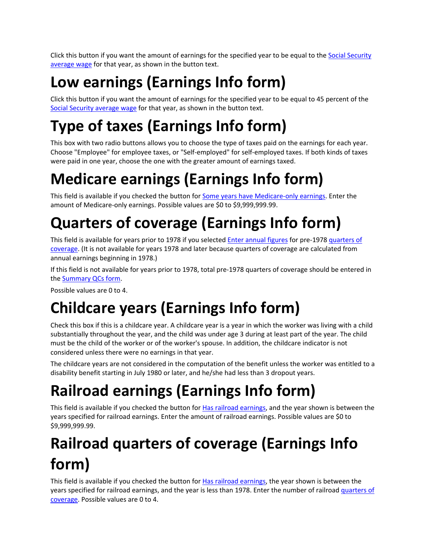Click this button if you want the amount of earnings for the specified year to be equal to the Social Security average wage for that year, as shown in the button text.

# **Low earnings (Earnings Info form)**

Click this button if you want the amount of earnings for the specified year to be equal to 45 percent of the Social Security average wage for that year, as shown in the button text.

# **Type of taxes (Earnings Info form)**

This box with two radio buttons allows you to choose the type of taxes paid on the earnings for each year. Choose "Employee" for employee taxes, or "Self‐employed" for self‐employed taxes. If both kinds of taxes were paid in one year, choose the one with the greater amount of earnings taxed.

# **Medicare earnings (Earnings Info form)**

This field is available if you checked the button for Some years have Medicare-only earnings. Enter the amount of Medicare-only earnings. Possible values are \$0 to \$9,999,999.99.

# **Quarters of coverage (Earnings Info form)**

This field is available for years prior to 1978 if you selected *Enter annual figures* for pre-1978 quarters of coverage. (It is not available for years 1978 and later because quarters of coverage are calculated from annual earnings beginning in 1978.)

If this field is not available for years prior to 1978, total pre‐1978 quarters of coverage should be entered in the Summary QCs form.

Possible values are 0 to 4.

# **Childcare years (Earnings Info form)**

Check this box if this is a childcare year. A childcare year is a year in which the worker was living with a child substantially throughout the year, and the child was under age 3 during at least part of the year. The child must be the child of the worker or of the worker's spouse. In addition, the childcare indicator is not considered unless there were no earnings in that year.

The childcare years are not considered in the computation of the benefit unless the worker was entitled to a disability benefit starting in July 1980 or later, and he/she had less than 3 dropout years.

# **Railroad earnings (Earnings Info form)**

This field is available if you checked the button for Has railroad earnings, and the year shown is between the years specified for railroad earnings. Enter the amount of railroad earnings. Possible values are \$0 to \$9,999,999.99.

# **Railroad quarters of coverage (Earnings Info form)**

This field is available if you checked the button for Has railroad earnings, the year shown is between the years specified for railroad earnings, and the year is less than 1978. Enter the number of railroad quarters of coverage. Possible values are 0 to 4.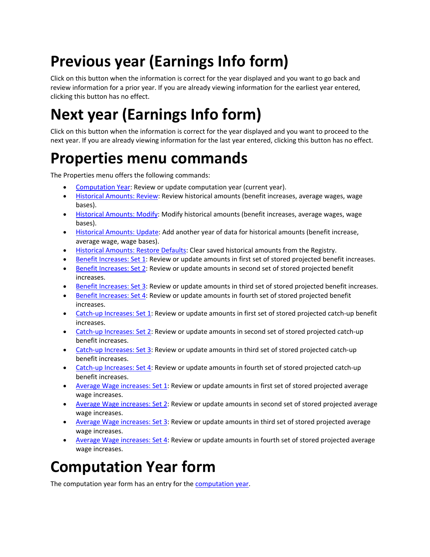# **Previous year (Earnings Info form)**

Click on this button when the information is correct for the year displayed and you want to go back and review information for a prior year. If you are already viewing information for the earliest year entered, clicking this button has no effect.

# **Next year (Earnings Info form)**

Click on this button when the information is correct for the year displayed and you want to proceed to the next year. If you are already viewing information for the last year entered, clicking this button has no effect.

### **Properties menu commands**

The Properties menu offers the following commands:

- Computation Year: Review or update computation year (current year).
- Historical Amounts: Review: Review historical amounts (benefit increases, average wages, wage bases).
- Historical Amounts: Modify: Modify historical amounts (benefit increases, average wages, wage bases).
- **Historical Amounts: Update: Add another year of data for historical amounts (benefit increase,** average wage, wage bases).
- Historical Amounts: Restore Defaults: Clear saved historical amounts from the Registry.
- Benefit Increases: Set 1: Review or update amounts in first set of stored projected benefit increases.
- Benefit Increases: Set 2: Review or update amounts in second set of stored projected benefit increases.
- **Benefit Increases: Set 3: Review or update amounts in third set of stored projected benefit increases.**
- Benefit Increases: Set 4: Review or update amounts in fourth set of stored projected benefit increases.
- Catch-up Increases: Set 1: Review or update amounts in first set of stored projected catch-up benefit increases.
- Catch-up Increases: Set 2: Review or update amounts in second set of stored projected catch-up benefit increases.
- Catch-up Increases: Set 3: Review or update amounts in third set of stored projected catch-up benefit increases.
- Catch-up Increases: Set 4: Review or update amounts in fourth set of stored projected catch-up benefit increases.
- Average Wage increases: Set 1: Review or update amounts in first set of stored projected average wage increases.
- Average Wage increases: Set 2: Review or update amounts in second set of stored projected average wage increases.
- Average Wage increases: Set 3: Review or update amounts in third set of stored projected average wage increases.
- Average Wage increases: Set 4: Review or update amounts in fourth set of stored projected average wage increases.

## **Computation Year form**

The computation year form has an entry for the **computation year**.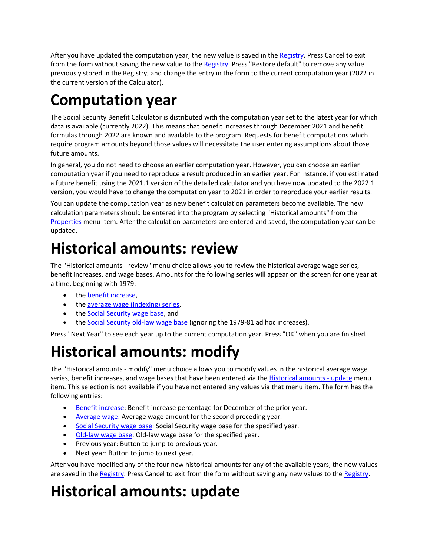After you have updated the computation year, the new value is saved in the Registry. Press Cancel to exit from the form without saving the new value to the Registry. Press "Restore default" to remove any value previously stored in the Registry, and change the entry in the form to the current computation year (2022 in the current version of the Calculator).

## **Computation year**

The Social Security Benefit Calculator is distributed with the computation year set to the latest year for which data is available (currently 2022). This means that benefit increases through December 2021 and benefit formulas through 2022 are known and available to the program. Requests for benefit computations which require program amounts beyond those values will necessitate the user entering assumptions about those future amounts.

In general, you do not need to choose an earlier computation year. However, you can choose an earlier computation year if you need to reproduce a result produced in an earlier year. For instance, if you estimated a future benefit using the 2021.1 version of the detailed calculator and you have now updated to the 2022.1 version, you would have to change the computation year to 2021 in order to reproduce your earlier results.

You can update the computation year as new benefit calculation parameters become available. The new calculation parameters should be entered into the program by selecting "Historical amounts" from the Properties menu item. After the calculation parameters are entered and saved, the computation year can be updated.

### **Historical amounts: review**

The "Historical amounts ‐ review" menu choice allows you to review the historical average wage series, benefit increases, and wage bases. Amounts for the following series will appear on the screen for one year at a time, beginning with 1979:

- the benefit increase.
- the average wage (indexing) series,
- the Social Security wage base, and
- the Social Security old-law wage base (ignoring the 1979-81 ad hoc increases).

Press "Next Year" to see each year up to the current computation year. Press "OK" when you are finished.

### **Historical amounts: modify**

The "Historical amounts ‐ modify" menu choice allows you to modify values in the historical average wage series, benefit increases, and wage bases that have been entered via the Historical amounts - update menu item. This selection is not available if you have not entered any values via that menu item. The form has the following entries:

- Benefit increase: Benefit increase percentage for December of the prior year.
- Average wage: Average wage amount for the second preceding year.
- Social Security wage base: Social Security wage base for the specified year.
- Old‐law wage base: Old‐law wage base for the specified year.
- Previous year: Button to jump to previous year.
- Next year: Button to jump to next year.

After you have modified any of the four new historical amounts for any of the available years, the new values are saved in the Registry. Press Cancel to exit from the form without saving any new values to the Registry.

### **Historical amounts: update**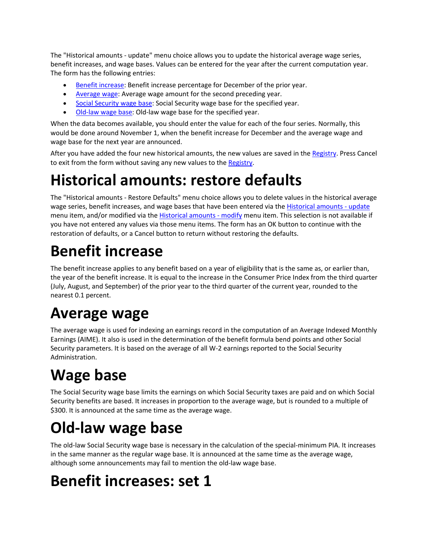The "Historical amounts ‐ update" menu choice allows you to update the historical average wage series, benefit increases, and wage bases. Values can be entered for the year after the current computation year. The form has the following entries:

- Benefit increase: Benefit increase percentage for December of the prior year.
- Average wage: Average wage amount for the second preceding year.
- Social Security wage base: Social Security wage base for the specified year.
- Old-law wage base: Old-law wage base for the specified year.

When the data becomes available, you should enter the value for each of the four series. Normally, this would be done around November 1, when the benefit increase for December and the average wage and wage base for the next year are announced.

After you have added the four new historical amounts, the new values are saved in the Registry. Press Cancel to exit from the form without saving any new values to the Registry.

### **Historical amounts: restore defaults**

The "Historical amounts ‐ Restore Defaults" menu choice allows you to delete values in the historical average wage series, benefit increases, and wage bases that have been entered via the Historical amounts - update menu item, and/or modified via the **Historical amounts - modify menu item**. This selection is not available if you have not entered any values via those menu items. The form has an OK button to continue with the restoration of defaults, or a Cancel button to return without restoring the defaults.

## **Benefit increase**

The benefit increase applies to any benefit based on a year of eligibility that is the same as, or earlier than, the year of the benefit increase. It is equal to the increase in the Consumer Price Index from the third quarter (July, August, and September) of the prior year to the third quarter of the current year, rounded to the nearest 0.1 percent.

### **Average wage**

The average wage is used for indexing an earnings record in the computation of an Average Indexed Monthly Earnings (AIME). It also is used in the determination of the benefit formula bend points and other Social Security parameters. It is based on the average of all W‐2 earnings reported to the Social Security Administration.

# **Wage base**

The Social Security wage base limits the earnings on which Social Security taxes are paid and on which Social Security benefits are based. It increases in proportion to the average wage, but is rounded to a multiple of \$300. It is announced at the same time as the average wage.

## **Old‐law wage base**

The old-law Social Security wage base is necessary in the calculation of the special-minimum PIA. It increases in the same manner as the regular wage base. It is announced at the same time as the average wage, although some announcements may fail to mention the old‐law wage base.

## **Benefit increases: set 1**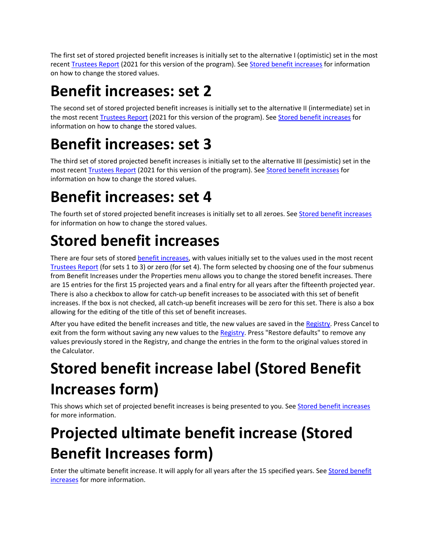The first set of stored projected benefit increases is initially set to the alternative I (optimistic) set in the most recent Trustees Report (2021 for this version of the program). See Stored benefit increases for information on how to change the stored values.

### **Benefit increases: set 2**

The second set of stored projected benefit increases is initially set to the alternative II (intermediate) set in the most recent Trustees Report (2021 for this version of the program). See Stored benefit increases for information on how to change the stored values.

### **Benefit increases: set 3**

The third set of stored projected benefit increases is initially set to the alternative III (pessimistic) set in the most recent Trustees Report (2021 for this version of the program). See Stored benefit increases for information on how to change the stored values.

## **Benefit increases: set 4**

The fourth set of stored projected benefit increases is initially set to all zeroes. See Stored benefit increases for information on how to change the stored values.

## **Stored benefit increases**

There are four sets of stored **benefit increases**, with values initially set to the values used in the most recent Trustees Report (for sets 1 to 3) or zero (for set 4). The form selected by choosing one of the four submenus from Benefit Increases under the Properties menu allows you to change the stored benefit increases. There are 15 entries for the first 15 projected years and a final entry for all years after the fifteenth projected year. There is also a checkbox to allow for catch‐up benefit increases to be associated with this set of benefit increases. If the box is not checked, all catch‐up benefit increases will be zero for this set. There is also a box allowing for the editing of the title of this set of benefit increases.

After you have edited the benefit increases and title, the new values are saved in the Registry. Press Cancel to exit from the form without saving any new values to the Registry. Press "Restore defaults" to remove any values previously stored in the Registry, and change the entries in the form to the original values stored in the Calculator.

# **Stored benefit increase label (Stored Benefit Increases form)**

This shows which set of projected benefit increases is being presented to you. See Stored benefit increases for more information.

# **Projected ultimate benefit increase (Stored Benefit Increases form)**

Enter the ultimate benefit increase. It will apply for all years after the 15 specified years. See Stored benefit increases for more information.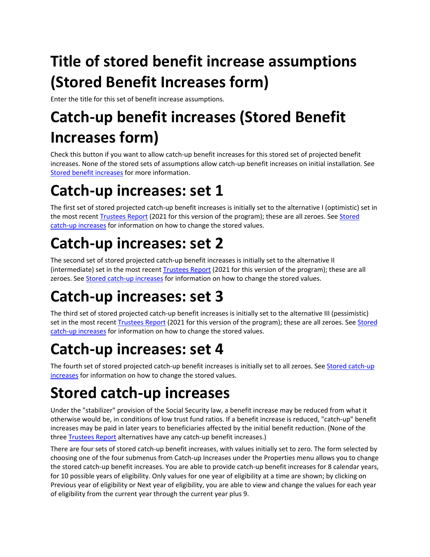# **Title of stored benefit increase assumptions (Stored Benefit Increases form)**

Enter the title for this set of benefit increase assumptions.

# **Catch‐up benefit increases (Stored Benefit Increases form)**

Check this button if you want to allow catch‐up benefit increases for this stored set of projected benefit increases. None of the stored sets of assumptions allow catch‐up benefit increases on initial installation. See Stored benefit increases for more information.

## **Catch‐up increases: set 1**

The first set of stored projected catch-up benefit increases is initially set to the alternative I (optimistic) set in the most recent Trustees Report (2021 for this version of the program); these are all zeroes. See Stored catch-up increases for information on how to change the stored values.

# **Catch‐up increases: set 2**

The second set of stored projected catch-up benefit increases is initially set to the alternative II (intermediate) set in the most recent Trustees Report (2021 for this version of the program); these are all zeroes. See Stored catch-up increases for information on how to change the stored values.

## **Catch‐up increases: set 3**

The third set of stored projected catch-up benefit increases is initially set to the alternative III (pessimistic) set in the most recent Trustees Report (2021 for this version of the program); these are all zeroes. See Stored catch-up increases for information on how to change the stored values.

## **Catch‐up increases: set 4**

The fourth set of stored projected catch-up benefit increases is initially set to all zeroes. See Stored catch-up increases for information on how to change the stored values.

# **Stored catch‐up increases**

Under the "stabilizer" provision of the Social Security law, a benefit increase may be reduced from what it otherwise would be, in conditions of low trust fund ratios. If a benefit increase is reduced, "catch‐up" benefit increases may be paid in later years to beneficiaries affected by the initial benefit reduction. (None of the three Trustees Report alternatives have any catch-up benefit increases.)

There are four sets of stored catch-up benefit increases, with values initially set to zero. The form selected by choosing one of the four submenus from Catch‐up Increases under the Properties menu allows you to change the stored catch‐up benefit increases. You are able to provide catch‐up benefit increases for 8 calendar years, for 10 possible years of eligibility. Only values for one year of eligibility at a time are shown; by clicking on Previous year of eligibility or Next year of eligibility, you are able to view and change the values for each year of eligibility from the current year through the current year plus 9.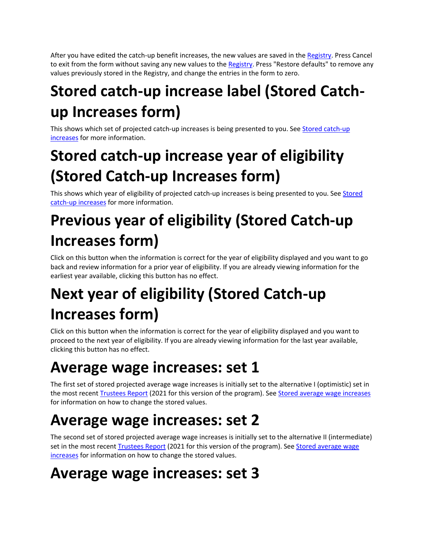After you have edited the catch-up benefit increases, the new values are saved in the Registry. Press Cancel to exit from the form without saving any new values to the Registry. Press "Restore defaults" to remove any values previously stored in the Registry, and change the entries in the form to zero.

# **Stored catch‐up increase label (Stored Catch‐ up Increases form)**

This shows which set of projected catch-up increases is being presented to you. See Stored catch-up increases for more information.

# **Stored catch‐up increase year of eligibility (Stored Catch‐up Increases form)**

This shows which year of eligibility of projected catch-up increases is being presented to you. See Stored catch‐up increases for more information.

## **Previous year of eligibility (Stored Catch‐up Increases form)**

Click on this button when the information is correct for the year of eligibility displayed and you want to go back and review information for a prior year of eligibility. If you are already viewing information for the earliest year available, clicking this button has no effect.

# **Next year of eligibility (Stored Catch‐up Increases form)**

Click on this button when the information is correct for the year of eligibility displayed and you want to proceed to the next year of eligibility. If you are already viewing information for the last year available, clicking this button has no effect.

## **Average wage increases: set 1**

The first set of stored projected average wage increases is initially set to the alternative I (optimistic) set in the most recent Trustees Report (2021 for this version of the program). See Stored average wage increases for information on how to change the stored values.

## **Average wage increases: set 2**

The second set of stored projected average wage increases is initially set to the alternative II (intermediate) set in the most recent Trustees Report (2021 for this version of the program). See Stored average wage increases for information on how to change the stored values.

## **Average wage increases: set 3**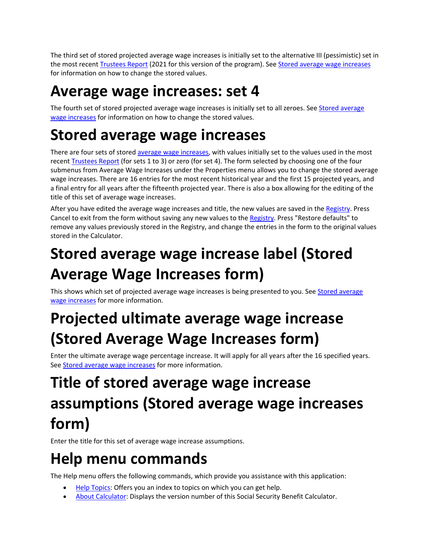The third set of stored projected average wage increases is initially set to the alternative III (pessimistic) set in the most recent Trustees Report (2021 for this version of the program). See Stored average wage increases for information on how to change the stored values.

### **Average wage increases: set 4**

The fourth set of stored projected average wage increases is initially set to all zeroes. See Stored average wage increases for information on how to change the stored values.

### **Stored average wage increases**

There are four sets of stored average wage increases, with values initially set to the values used in the most recent Trustees Report (for sets 1 to 3) or zero (for set 4). The form selected by choosing one of the four submenus from Average Wage Increases under the Properties menu allows you to change the stored average wage increases. There are 16 entries for the most recent historical year and the first 15 projected years, and a final entry for all years after the fifteenth projected year. There is also a box allowing for the editing of the title of this set of average wage increases.

After you have edited the average wage increases and title, the new values are saved in the Registry. Press Cancel to exit from the form without saving any new values to the Registry. Press "Restore defaults" to remove any values previously stored in the Registry, and change the entries in the form to the original values stored in the Calculator.

## **Stored average wage increase label (Stored Average Wage Increases form)**

This shows which set of projected average wage increases is being presented to you. See Stored average wage increases for more information.

## **Projected ultimate average wage increase (Stored Average Wage Increases form)**

Enter the ultimate average wage percentage increase. It will apply for all years after the 16 specified years. See Stored average wage increases for more information.

## **Title of stored average wage increase assumptions (Stored average wage increases form)**

Enter the title for this set of average wage increase assumptions.

### **Help menu commands**

The Help menu offers the following commands, which provide you assistance with this application:

- Help Topics: Offers you an index to topics on which you can get help.
- About Calculator: Displays the version number of this Social Security Benefit Calculator.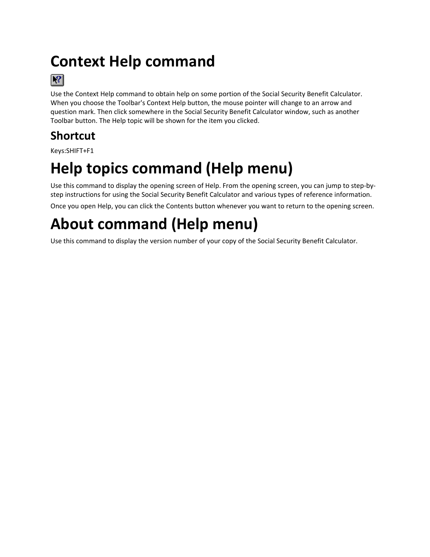## **Context Help command**



Use the Context Help command to obtain help on some portion of the Social Security Benefit Calculator. When you choose the Toolbar's Context Help button, the mouse pointer will change to an arrow and question mark. Then click somewhere in the Social Security Benefit Calculator window, such as another Toolbar button. The Help topic will be shown for the item you clicked.

### **Shortcut**

Keys:SHIFT+F1

## **Help topics command (Help menu)**

Use this command to display the opening screen of Help. From the opening screen, you can jump to step‐by‐ step instructions for using the Social Security Benefit Calculator and various types of reference information.

Once you open Help, you can click the Contents button whenever you want to return to the opening screen.

# **About command (Help menu)**

Use this command to display the version number of your copy of the Social Security Benefit Calculator.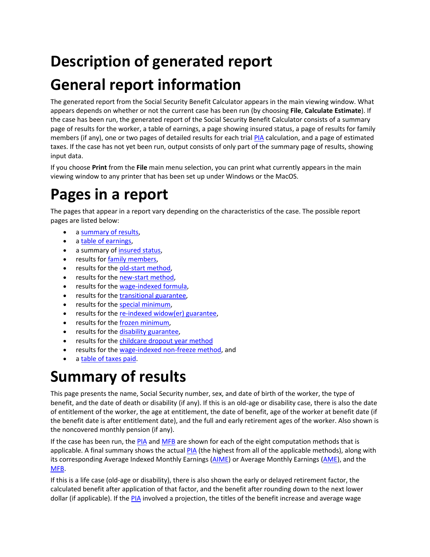## **Description of generated report**

## **General report information**

The generated report from the Social Security Benefit Calculator appears in the main viewing window. What appears depends on whether or not the current case has been run (by choosing **File**, **Calculate Estimate**). If the case has been run, the generated report of the Social Security Benefit Calculator consists of a summary page of results for the worker, a table of earnings, a page showing insured status, a page of results for family members (if any), one or two pages of detailed results for each trial PIA calculation, and a page of estimated taxes. If the case has not yet been run, output consists of only part of the summary page of results, showing input data.

If you choose **Print** from the **File** main menu selection, you can print what currently appears in the main viewing window to any printer that has been set up under Windows or the MacOS.

## **Pages in a report**

The pages that appear in a report vary depending on the characteristics of the case. The possible report pages are listed below:

- a summary of results,
- a table of earnings,
- a summary of insured status,
- **•** results for family members,
- results for the old-start method,
- results for the new-start method,
- results for the wage-indexed formula,
- results for the transitional guarantee,
- results for the special minimum,
- results for the re-indexed widow(er) guarantee,
- results for the frozen minimum,
- results for the disability guarantee,
- **•** results for the childcare dropout year method
- results for the wage-indexed non-freeze method, and
- a table of taxes paid.

### **Summary of results**

This page presents the name, Social Security number, sex, and date of birth of the worker, the type of benefit, and the date of death or disability (if any). If this is an old-age or disability case, there is also the date of entitlement of the worker, the age at entitlement, the date of benefit, age of the worker at benefit date (if the benefit date is after entitlement date), and the full and early retirement ages of the worker. Also shown is the noncovered monthly pension (if any).

If the case has been run, the PIA and MFB are shown for each of the eight computation methods that is applicable. A final summary shows the actual PIA (the highest from all of the applicable methods), along with its corresponding Average Indexed Monthly Earnings (AIME) or Average Monthly Earnings (AME), and the MFB.

If this is a life case (old‐age or disability), there is also shown the early or delayed retirement factor, the calculated benefit after application of that factor, and the benefit after rounding down to the next lower dollar (if applicable). If the PIA involved a projection, the titles of the benefit increase and average wage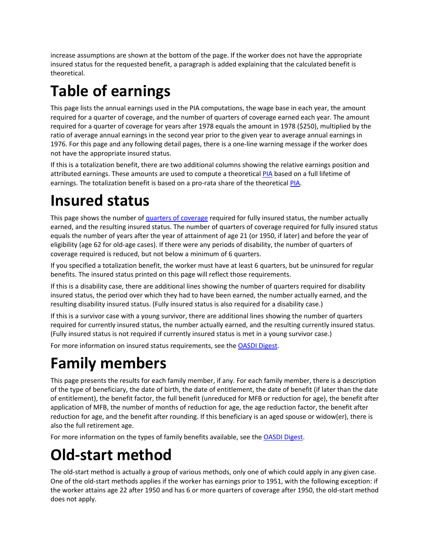increase assumptions are shown at the bottom of the page. If the worker does not have the appropriate insured status for the requested benefit, a paragraph is added explaining that the calculated benefit is theoretical.

# **Table of earnings**

This page lists the annual earnings used in the PIA computations, the wage base in each year, the amount required for a quarter of coverage, and the number of quarters of coverage earned each year. The amount required for a quarter of coverage for years after 1978 equals the amount in 1978 (\$250), multiplied by the ratio of average annual earnings in the second year prior to the given year to average annual earnings in 1976. For this page and any following detail pages, there is a one‐line warning message if the worker does not have the appropriate insured status.

If this is a totalization benefit, there are two additional columns showing the relative earnings position and attributed earnings. These amounts are used to compute a theoretical PIA based on a full lifetime of earnings. The totalization benefit is based on a pro-rata share of the theoretical PIA.

### **Insured status**

This page shows the number of quarters of coverage required for fully insured status, the number actually earned, and the resulting insured status. The number of quarters of coverage required for fully insured status equals the number of years after the year of attainment of age 21 (or 1950, if later) and before the year of eligibility (age 62 for old‐age cases). If there were any periods of disability, the number of quarters of coverage required is reduced, but not below a minimum of 6 quarters.

If you specified a totalization benefit, the worker must have at least 6 quarters, but be uninsured for regular benefits. The insured status printed on this page will reflect those requirements.

If this is a disability case, there are additional lines showing the number of quarters required for disability insured status, the period over which they had to have been earned, the number actually earned, and the resulting disability insured status. (Fully insured status is also required for a disability case.)

If this is a survivor case with a young survivor, there are additional lines showing the number of quarters required for currently insured status, the number actually earned, and the resulting currently insured status. (Fully insured status is not required if currently insured status is met in a young survivor case.)

For more information on insured status requirements, see the OASDI Digest.

### **Family members**

This page presents the results for each family member, if any. For each family member, there is a description of the type of beneficiary, the date of birth, the date of entitlement, the date of benefit (if later than the date of entitlement), the benefit factor, the full benefit (unreduced for MFB or reduction for age), the benefit after application of MFB, the number of months of reduction for age, the age reduction factor, the benefit after reduction for age, and the benefit after rounding. If this beneficiary is an aged spouse or widow(er), there is also the full retirement age.

For more information on the types of family benefits available, see the OASDI Digest.

### **Old‐start method**

The old-start method is actually a group of various methods, only one of which could apply in any given case. One of the old‐start methods applies if the worker has earnings prior to 1951, with the following exception: if the worker attains age 22 after 1950 and has 6 or more quarters of coverage after 1950, the old‐start method does not apply.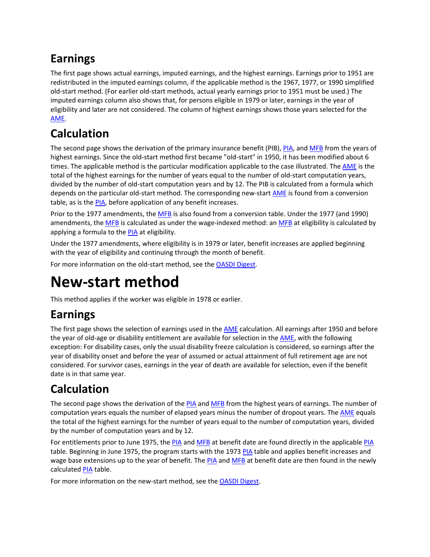### **Earnings**

The first page shows actual earnings, imputed earnings, and the highest earnings. Earnings prior to 1951 are redistributed in the imputed earnings column, if the applicable method is the 1967, 1977, or 1990 simplified old‐start method. (For earlier old‐start methods, actual yearly earnings prior to 1951 must be used.) The imputed earnings column also shows that, for persons eligible in 1979 or later, earnings in the year of eligibility and later are not considered. The column of highest earnings shows those years selected for the AME.

### **Calculation**

The second page shows the derivation of the primary insurance benefit (PIB), PIA, and MFB from the years of highest earnings. Since the old-start method first became "old-start" in 1950, it has been modified about 6 times. The applicable method is the particular modification applicable to the case illustrated. The AME is the total of the highest earnings for the number of years equal to the number of old‐start computation years, divided by the number of old‐start computation years and by 12. The PIB is calculated from a formula which depends on the particular old-start method. The corresponding new-start AME is found from a conversion table, as is the PIA, before application of any benefit increases.

Prior to the 1977 amendments, the MFB is also found from a conversion table. Under the 1977 (and 1990) amendments, the MFB is calculated as under the wage-indexed method: an MFB at eligibility is calculated by applying a formula to the PIA at eligibility.

Under the 1977 amendments, where eligibility is in 1979 or later, benefit increases are applied beginning with the year of eligibility and continuing through the month of benefit.

For more information on the old‐start method, see the OASDI Digest.

### **New‐start method**

This method applies if the worker was eligible in 1978 or earlier.

### **Earnings**

The first page shows the selection of earnings used in the **AME** calculation. All earnings after 1950 and before the year of old-age or disability entitlement are available for selection in the AME, with the following exception: For disability cases, only the usual disability freeze calculation is considered, so earnings after the year of disability onset and before the year of assumed or actual attainment of full retirement age are not considered. For survivor cases, earnings in the year of death are available for selection, even if the benefit date is in that same year.

### **Calculation**

The second page shows the derivation of the PIA and MFB from the highest years of earnings. The number of computation years equals the number of elapsed years minus the number of dropout years. The **AME** equals the total of the highest earnings for the number of years equal to the number of computation years, divided by the number of computation years and by 12.

For entitlements prior to June 1975, the PIA and MFB at benefit date are found directly in the applicable PIA table. Beginning in June 1975, the program starts with the 1973 PIA table and applies benefit increases and wage base extensions up to the year of benefit. The PIA and MFB at benefit date are then found in the newly calculated PIA table.

For more information on the new-start method, see the **OASDI Digest**.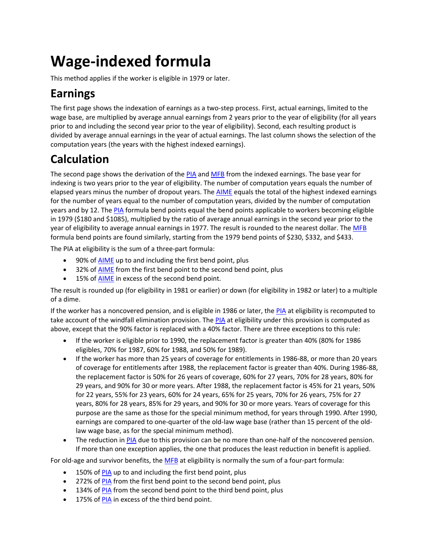## **Wage‐indexed formula**

This method applies if the worker is eligible in 1979 or later.

### **Earnings**

The first page shows the indexation of earnings as a two-step process. First, actual earnings, limited to the wage base, are multiplied by average annual earnings from 2 years prior to the year of eligibility (for all years prior to and including the second year prior to the year of eligibility). Second, each resulting product is divided by average annual earnings in the year of actual earnings. The last column shows the selection of the computation years (the years with the highest indexed earnings).

### **Calculation**

The second page shows the derivation of the PIA and MFB from the indexed earnings. The base year for indexing is two years prior to the year of eligibility. The number of computation years equals the number of elapsed years minus the number of dropout years. The **AIME** equals the total of the highest indexed earnings for the number of years equal to the number of computation years, divided by the number of computation years and by 12. The PIA formula bend points equal the bend points applicable to workers becoming eligible in 1979 (\$180 and \$1085), multiplied by the ratio of average annual earnings in the second year prior to the year of eligibility to average annual earnings in 1977. The result is rounded to the nearest dollar. The MFB formula bend points are found similarly, starting from the 1979 bend points of \$230, \$332, and \$433.

The PIA at eligibility is the sum of a three‐part formula:

- 90% of AIME up to and including the first bend point, plus
- 32% of AIME from the first bend point to the second bend point, plus
- 15% of **AIME** in excess of the second bend point.

The result is rounded up (for eligibility in 1981 or earlier) or down (for eligibility in 1982 or later) to a multiple of a dime.

If the worker has a noncovered pension, and is eligible in 1986 or later, the PIA at eligibility is recomputed to take account of the windfall elimination provision. The PIA at eligibility under this provision is computed as above, except that the 90% factor is replaced with a 40% factor. There are three exceptions to this rule:

- If the worker is eligible prior to 1990, the replacement factor is greater than 40% (80% for 1986 eligibles, 70% for 1987, 60% for 1988, and 50% for 1989).
- If the worker has more than 25 years of coverage for entitlements in 1986‐88, or more than 20 years of coverage for entitlements after 1988, the replacement factor is greater than 40%. During 1986‐88, the replacement factor is 50% for 26 years of coverage, 60% for 27 years, 70% for 28 years, 80% for 29 years, and 90% for 30 or more years. After 1988, the replacement factor is 45% for 21 years, 50% for 22 years, 55% for 23 years, 60% for 24 years, 65% for 25 years, 70% for 26 years, 75% for 27 years, 80% for 28 years, 85% for 29 years, and 90% for 30 or more years. Years of coverage for this purpose are the same as those for the special minimum method, for years through 1990. After 1990, earnings are compared to one-quarter of the old-law wage base (rather than 15 percent of the oldlaw wage base, as for the special minimum method).
- The reduction in PIA due to this provision can be no more than one-half of the noncovered pension. If more than one exception applies, the one that produces the least reduction in benefit is applied.

For old-age and survivor benefits, the MFB at eligibility is normally the sum of a four-part formula:

- 150% of PIA up to and including the first bend point, plus
- 272% of PIA from the first bend point to the second bend point, plus
- 134% of PIA from the second bend point to the third bend point, plus
- 175% of PIA in excess of the third bend point.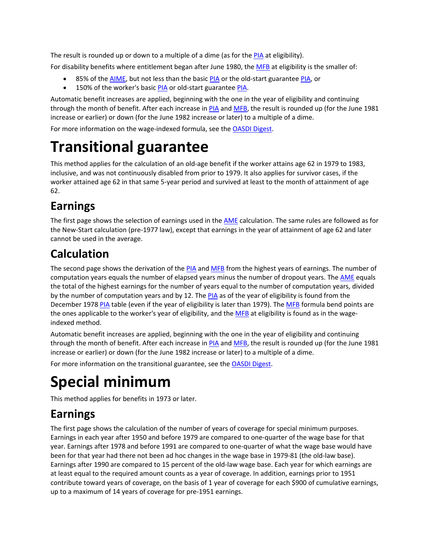The result is rounded up or down to a multiple of a dime (as for the PIA at eligibility).

For disability benefits where entitlement began after June 1980, the MFB at eligibility is the smaller of:

- 85% of the AIME, but not less than the basic PIA or the old-start guarantee PIA, or
- 150% of the worker's basic PIA or old-start guarantee PIA.

Automatic benefit increases are applied, beginning with the one in the year of eligibility and continuing through the month of benefit. After each increase in PIA and MFB, the result is rounded up (for the June 1981 increase or earlier) or down (for the June 1982 increase or later) to a multiple of a dime.

For more information on the wage-indexed formula, see the OASDI Digest.

### **Transitional guarantee**

This method applies for the calculation of an old-age benefit if the worker attains age 62 in 1979 to 1983, inclusive, and was not continuously disabled from prior to 1979. It also applies for survivor cases, if the worker attained age 62 in that same 5-year period and survived at least to the month of attainment of age 62.

### **Earnings**

The first page shows the selection of earnings used in the **AME** calculation. The same rules are followed as for the New‐Start calculation (pre‐1977 law), except that earnings in the year of attainment of age 62 and later cannot be used in the average.

### **Calculation**

The second page shows the derivation of the PIA and MFB from the highest years of earnings. The number of computation years equals the number of elapsed years minus the number of dropout years. The **AME** equals the total of the highest earnings for the number of years equal to the number of computation years, divided by the number of computation years and by 12. The PIA as of the year of eligibility is found from the December 1978 PIA table (even if the year of eligibility is later than 1979). The MFB formula bend points are the ones applicable to the worker's year of eligibility, and the MFB at eligibility is found as in the wageindexed method.

Automatic benefit increases are applied, beginning with the one in the year of eligibility and continuing through the month of benefit. After each increase in PIA and MFB, the result is rounded up (for the June 1981 increase or earlier) or down (for the June 1982 increase or later) to a multiple of a dime.

For more information on the transitional guarantee, see the OASDI Digest.

## **Special minimum**

This method applies for benefits in 1973 or later.

### **Earnings**

The first page shows the calculation of the number of years of coverage for special minimum purposes. Earnings in each year after 1950 and before 1979 are compared to one‐quarter of the wage base for that year. Earnings after 1978 and before 1991 are compared to one-quarter of what the wage base would have been for that year had there not been ad hoc changes in the wage base in 1979‐81 (the old‐law base). Earnings after 1990 are compared to 15 percent of the old‐law wage base. Each year for which earnings are at least equal to the required amount counts as a year of coverage. In addition, earnings prior to 1951 contribute toward years of coverage, on the basis of 1 year of coverage for each \$900 of cumulative earnings, up to a maximum of 14 years of coverage for pre‐1951 earnings.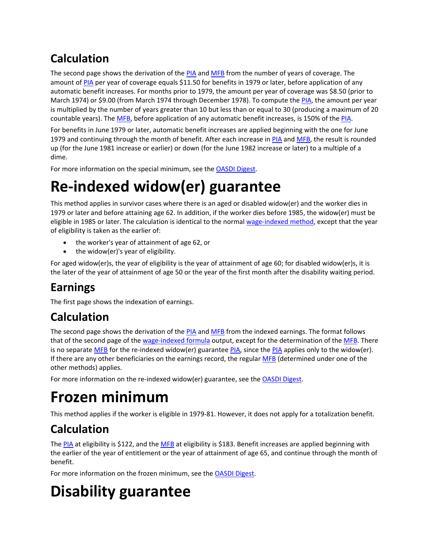### **Calculation**

The second page shows the derivation of the PIA and MFB from the number of years of coverage. The amount of PIA per year of coverage equals \$11.50 for benefits in 1979 or later, before application of any automatic benefit increases. For months prior to 1979, the amount per year of coverage was \$8.50 (prior to March 1974) or \$9.00 (from March 1974 through December 1978). To compute the PIA, the amount per year is multiplied by the number of years greater than 10 but less than or equal to 30 (producing a maximum of 20 countable years). The MFB, before application of any automatic benefit increases, is 150% of the PIA.

For benefits in June 1979 or later, automatic benefit increases are applied beginning with the one for June 1979 and continuing through the month of benefit. After each increase in PIA and MFB, the result is rounded up (for the June 1981 increase or earlier) or down (for the June 1982 increase or later) to a multiple of a dime.

For more information on the special minimum, see the OASDI Digest.

## **Re‐indexed widow(er) guarantee**

This method applies in survivor cases where there is an aged or disabled widow(er) and the worker dies in 1979 or later and before attaining age 62. In addition, if the worker dies before 1985, the widow(er) must be eligible in 1985 or later. The calculation is identical to the normal wage-indexed method, except that the year of eligibility is taken as the earlier of:

- the worker's year of attainment of age 62, or
- the widow(er)'s year of eligibility.

For aged widow(er)s, the year of eligibility is the year of attainment of age 60; for disabled widow(er)s, it is the later of the year of attainment of age 50 or the year of the first month after the disability waiting period.

### **Earnings**

The first page shows the indexation of earnings.

### **Calculation**

The second page shows the derivation of the PIA and MFB from the indexed earnings. The format follows that of the second page of the wage-indexed formula output, except for the determination of the MFB. There is no separate MFB for the re-indexed widow(er) guarantee PIA, since the PIA applies only to the widow(er). If there are any other beneficiaries on the earnings record, the regular MFB (determined under one of the other methods) applies.

For more information on the re-indexed widow(er) guarantee, see the **OASDI Digest**.

## **Frozen minimum**

This method applies if the worker is eligible in 1979‐81. However, it does not apply for a totalization benefit.

### **Calculation**

The PIA at eligibility is \$122, and the MFB at eligibility is \$183. Benefit increases are applied beginning with the earlier of the year of entitlement or the year of attainment of age 65, and continue through the month of benefit.

For more information on the frozen minimum, see the OASDI Digest.

## **Disability guarantee**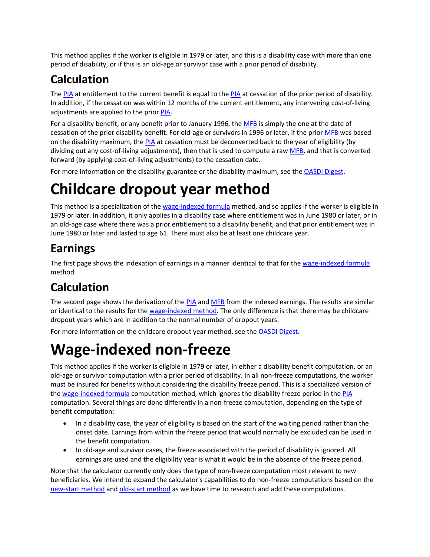This method applies if the worker is eligible in 1979 or later, and this is a disability case with more than one period of disability, or if this is an old‐age or survivor case with a prior period of disability.

### **Calculation**

The PIA at entitlement to the current benefit is equal to the PIA at cessation of the prior period of disability. In addition, if the cessation was within 12 months of the current entitlement, any intervening cost‐of‐living adjustments are applied to the prior PIA.

For a disability benefit, or any benefit prior to January 1996, the MFB is simply the one at the date of cessation of the prior disability benefit. For old‐age or survivors in 1996 or later, if the prior MFB was based on the disability maximum, the PIA at cessation must be deconverted back to the year of eligibility (by dividing out any cost-of-living adjustments), then that is used to compute a raw MFB, and that is converted forward (by applying cost‐of‐living adjustments) to the cessation date.

For more information on the disability guarantee or the disability maximum, see the OASDI Digest.

### **Childcare dropout year method**

This method is a specialization of the wage-indexed formula method, and so applies if the worker is eligible in 1979 or later. In addition, it only applies in a disability case where entitlement was in June 1980 or later, or in an old‐age case where there was a prior entitlement to a disability benefit, and that prior entitlement was in June 1980 or later and lasted to age 61. There must also be at least one childcare year.

### **Earnings**

The first page shows the indexation of earnings in a manner identical to that for the wage-indexed formula method.

### **Calculation**

The second page shows the derivation of the PIA and MFB from the indexed earnings. The results are similar or identical to the results for the wage-indexed method. The only difference is that there may be childcare dropout years which are in addition to the normal number of dropout years.

For more information on the childcare dropout year method, see the OASDI Digest.

## **Wage‐indexed non‐freeze**

This method applies if the worker is eligible in 1979 or later, in either a disability benefit computation, or an old‐age or survivor computation with a prior period of disability. In all non‐freeze computations, the worker must be insured for benefits without considering the disability freeze period. This is a specialized version of the wage‐indexed formula computation method, which ignores the disability freeze period in the PIA computation. Several things are done differently in a non‐freeze computation, depending on the type of benefit computation:

- In a disability case, the year of eligibility is based on the start of the waiting period rather than the onset date. Earnings from within the freeze period that would normally be excluded can be used in the benefit computation.
- In old-age and survivor cases, the freeze associated with the period of disability is ignored. All earnings are used and the eligibility year is what it would be in the absence of the freeze period.

Note that the calculator currently only does the type of non-freeze computation most relevant to new beneficiaries. We intend to expand the calculator's capabilities to do non‐freeze computations based on the new-start method and old-start method as we have time to research and add these computations.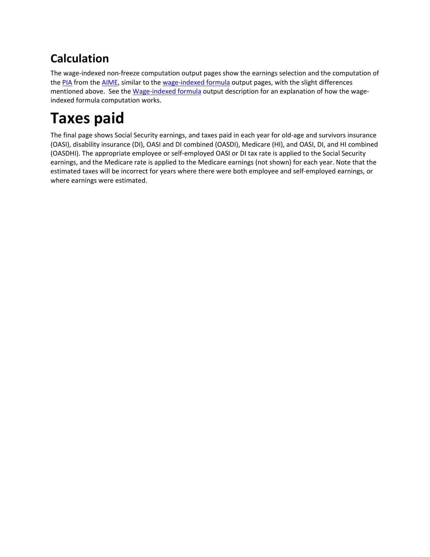### **Calculation**

The wage‐indexed non‐freeze computation output pages show the earnings selection and the computation of the PIA from the AIME, similar to the wage-indexed formula output pages, with the slight differences mentioned above. See the Wage-indexed formula output description for an explanation of how the wageindexed formula computation works.

## **Taxes paid**

The final page shows Social Security earnings, and taxes paid in each year for old‐age and survivors insurance (OASI), disability insurance (DI), OASI and DI combined (OASDI), Medicare (HI), and OASI, DI, and HI combined (OASDHI). The appropriate employee or self‐employed OASI or DI tax rate is applied to the Social Security earnings, and the Medicare rate is applied to the Medicare earnings (not shown) for each year. Note that the estimated taxes will be incorrect for years where there were both employee and self-employed earnings, or where earnings were estimated.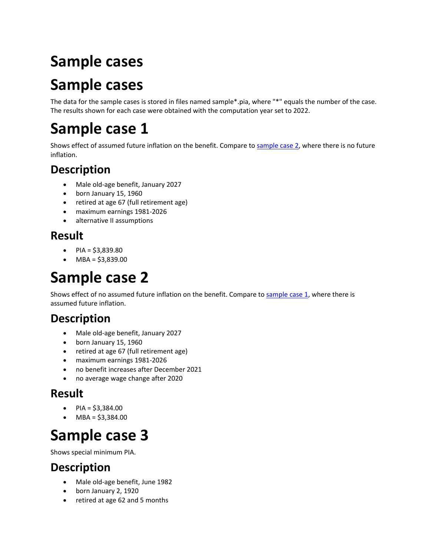# **Sample cases**

## **Sample cases**

The data for the sample cases is stored in files named sample\*.pia, where "\*" equals the number of the case. The results shown for each case were obtained with the computation year set to 2022.

## **Sample case 1**

Shows effect of assumed future inflation on the benefit. Compare to sample case 2, where there is no future inflation.

### **Description**

- Male old‐age benefit, January 2027
- born January 15, 1960
- retired at age 67 (full retirement age)
- maximum earnings 1981‐2026
- alternative II assumptions

#### **Result**

- $PIA = $3,839.80$
- MBA = \$3,839.00

## **Sample case 2**

Shows effect of no assumed future inflation on the benefit. Compare to sample case 1, where there is assumed future inflation.

### **Description**

- Male old‐age benefit, January 2027
- born January 15, 1960
- retired at age 67 (full retirement age)
- maximum earnings 1981‐2026
- no benefit increases after December 2021
- no average wage change after 2020

#### **Result**

- PIA =  $$3,384.00$
- $\bullet$  MBA = \$3,384.00

### **Sample case 3**

Shows special minimum PIA.

- Male old-age benefit, June 1982
- born January 2, 1920
- retired at age 62 and 5 months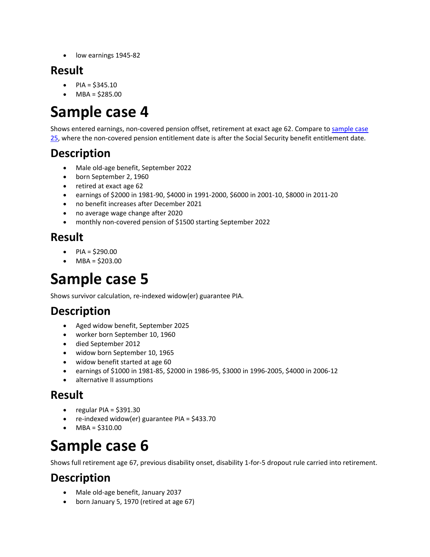low earnings 1945‐82

#### **Result**

- $PIA = $345.10$
- MBA = \$285.00

### **Sample case 4**

Shows entered earnings, non-covered pension offset, retirement at exact age 62. Compare to sample case 25, where the non‐covered pension entitlement date is after the Social Security benefit entitlement date.

### **Description**

- Male old-age benefit, September 2022
- born September 2, 1960
- retired at exact age 62
- earnings of \$2000 in 1981‐90, \$4000 in 1991‐2000, \$6000 in 2001‐10, \$8000 in 2011‐20
- no benefit increases after December 2021
- no average wage change after 2020
- monthly non‐covered pension of \$1500 starting September 2022

#### **Result**

- $PIA = $290.00$
- MBA = \$203.00

### **Sample case 5**

Shows survivor calculation, re‐indexed widow(er) guarantee PIA.

### **Description**

- Aged widow benefit, September 2025
- worker born September 10, 1960
- died September 2012
- widow born September 10, 1965
- widow benefit started at age 60
- earnings of \$1000 in 1981‐85, \$2000 in 1986‐95, \$3000 in 1996‐2005, \$4000 in 2006‐12
- alternative II assumptions

#### **Result**

- $\bullet$  regular PIA = \$391.30
- re‐indexed widow(er) guarantee PIA = \$433.70
- $-MBA = $310.00$

### **Sample case 6**

Shows full retirement age 67, previous disability onset, disability 1‐for‐5 dropout rule carried into retirement.

- Male old‐age benefit, January 2037
- born January 5, 1970 (retired at age 67)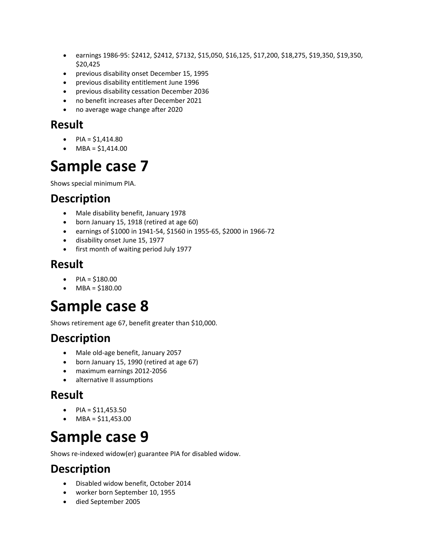- earnings 1986-95: \$2412, \$2412, \$7132, \$15,050, \$16,125, \$17,200, \$18,275, \$19,350, \$19,350, \$20,425
- previous disability onset December 15, 1995
- previous disability entitlement June 1996
- previous disability cessation December 2036
- no benefit increases after December 2021
- no average wage change after 2020

- $PIA = $1,414.80$
- $\bullet$  MBA = \$1,414.00

### **Sample case 7**

Shows special minimum PIA.

#### **Description**

- Male disability benefit, January 1978
- born January 15, 1918 (retired at age 60)
- earnings of \$1000 in 1941‐54, \$1560 in 1955‐65, \$2000 in 1966‐72
- disability onset June 15, 1977
- first month of waiting period July 1977

#### **Result**

- $\bullet$  PIA = \$180.00
- MBA = \$180.00

### **Sample case 8**

Shows retirement age 67, benefit greater than \$10,000.

#### **Description**

- Male old‐age benefit, January 2057
- born January 15, 1990 (retired at age 67)
- maximum earnings 2012‐2056
- alternative II assumptions

#### **Result**

- $PIA = $11,453.50$
- $\bullet$  MBA = \$11,453.00

### **Sample case 9**

Shows re‐indexed widow(er) guarantee PIA for disabled widow.

- Disabled widow benefit, October 2014
- worker born September 10, 1955
- died September 2005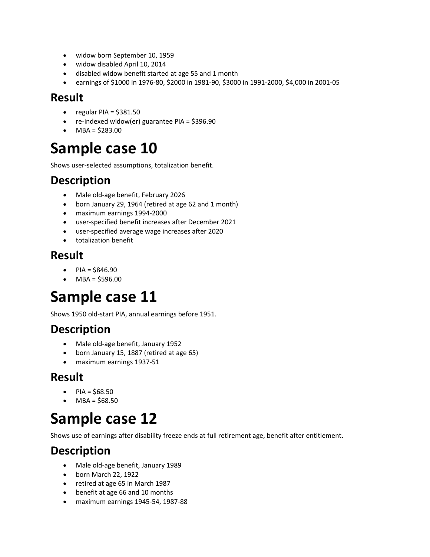- widow born September 10, 1959
- widow disabled April 10, 2014
- disabled widow benefit started at age 55 and 1 month
- earnings of \$1000 in 1976‐80, \$2000 in 1981‐90, \$3000 in 1991‐2000, \$4,000 in 2001‐05

- $\bullet$  regular PIA = \$381.50
- re-indexed widow(er) guarantee PIA = \$396.90
- MBA = \$283.00

### **Sample case 10**

Shows user‐selected assumptions, totalization benefit.

#### **Description**

- Male old-age benefit, February 2026
- born January 29, 1964 (retired at age 62 and 1 month)
- maximum earnings 1994‐2000
- user‐specified benefit increases after December 2021
- user‐specified average wage increases after 2020
- totalization benefit

#### **Result**

- $\bullet$  PIA = \$846.90
- $\bullet$  MBA = \$596.00

### **Sample case 11**

Shows 1950 old‐start PIA, annual earnings before 1951.

#### **Description**

- Male old‐age benefit, January 1952
- born January 15, 1887 (retired at age 65)
- maximum earnings 1937‐51

#### **Result**

- PIA =  $$68.50$
- $-MBA = $68.50$

### **Sample case 12**

Shows use of earnings after disability freeze ends at full retirement age, benefit after entitlement.

- Male old‐age benefit, January 1989
- born March 22, 1922
- retired at age 65 in March 1987
- benefit at age 66 and 10 months
- maximum earnings 1945‐54, 1987‐88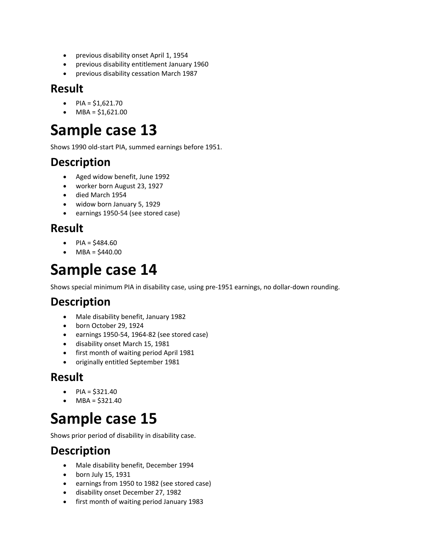- previous disability onset April 1, 1954
- previous disability entitlement January 1960
- previous disability cessation March 1987

- $PIA = $1,621.70$
- $\bullet$  MBA = \$1,621.00

### **Sample case 13**

Shows 1990 old‐start PIA, summed earnings before 1951.

#### **Description**

- Aged widow benefit, June 1992
- worker born August 23, 1927
- died March 1954
- widow born January 5, 1929
- earnings 1950‐54 (see stored case)

#### **Result**

- $PIA = $484.60$
- $-MBA = $440.00$

### **Sample case 14**

Shows special minimum PIA in disability case, using pre‐1951 earnings, no dollar‐down rounding.

#### **Description**

- Male disability benefit, January 1982
- born October 29, 1924
- earnings 1950‐54, 1964‐82 (see stored case)
- disability onset March 15, 1981
- first month of waiting period April 1981
- originally entitled September 1981

#### **Result**

- $\bullet$  PIA = \$321.40
- $-MBA = $321.40$

### **Sample case 15**

Shows prior period of disability in disability case.

- Male disability benefit, December 1994
- $\bullet$  born July 15, 1931
- earnings from 1950 to 1982 (see stored case)
- disability onset December 27, 1982
- first month of waiting period January 1983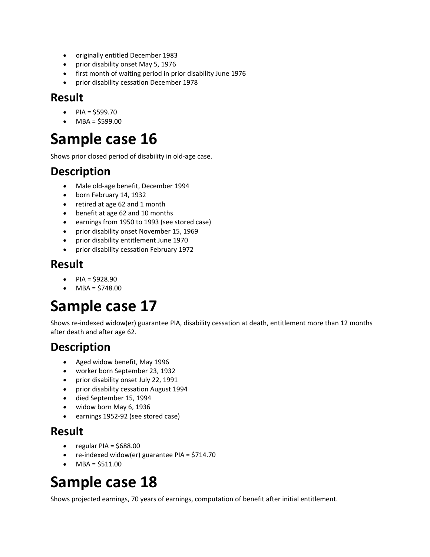- originally entitled December 1983
- prior disability onset May 5, 1976
- first month of waiting period in prior disability June 1976
- prior disability cessation December 1978

- $PIA = $599.70$
- $\bullet$  MBA = \$599.00

### **Sample case 16**

Shows prior closed period of disability in old‐age case.

#### **Description**

- Male old‐age benefit, December 1994
- born February 14, 1932
- retired at age 62 and 1 month
- benefit at age 62 and 10 months
- earnings from 1950 to 1993 (see stored case)
- prior disability onset November 15, 1969
- prior disability entitlement June 1970
- prior disability cessation February 1972

#### **Result**

- $PIA = $928.90$
- MBA = \$748.00

### **Sample case 17**

Shows re-indexed widow(er) guarantee PIA, disability cessation at death, entitlement more than 12 months after death and after age 62.

#### **Description**

- Aged widow benefit, May 1996
- worker born September 23, 1932
- prior disability onset July 22, 1991
- prior disability cessation August 1994
- died September 15, 1994
- widow born May 6, 1936
- earnings 1952‐92 (see stored case)

#### **Result**

- regular PIA = \$688.00
- re‐indexed widow(er) guarantee PIA = \$714.70
- $\bullet$  MBA = \$511.00

### **Sample case 18**

Shows projected earnings, 70 years of earnings, computation of benefit after initial entitlement.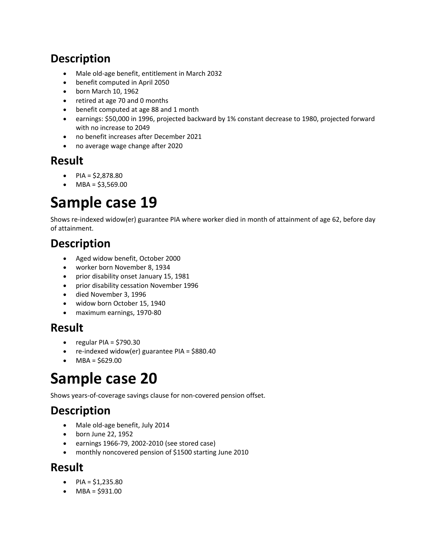### **Description**

- Male old‐age benefit, entitlement in March 2032
- benefit computed in April 2050
- born March 10, 1962
- retired at age 70 and 0 months
- benefit computed at age 88 and 1 month
- earnings: \$50,000 in 1996, projected backward by 1% constant decrease to 1980, projected forward with no increase to 2049
- no benefit increases after December 2021
- no average wage change after 2020

#### **Result**

- $PIA = $2,878.80$
- $\bullet$  MBA = \$3,569.00

### **Sample case 19**

Shows re‐indexed widow(er) guarantee PIA where worker died in month of attainment of age 62, before day of attainment.

#### **Description**

- Aged widow benefit, October 2000
- worker born November 8, 1934
- prior disability onset January 15, 1981
- prior disability cessation November 1996
- died November 3, 1996
- widow born October 15, 1940
- maximum earnings, 1970‐80

#### **Result**

- $\bullet$  regular PIA = \$790.30
- re‐indexed widow(er) guarantee PIA = \$880.40
- $\bullet$  MBA = \$629.00

### **Sample case 20**

Shows years‐of‐coverage savings clause for non‐covered pension offset.

### **Description**

- Male old-age benefit, July 2014
- born June 22, 1952
- earnings 1966‐79, 2002‐2010 (see stored case)
- monthly noncovered pension of \$1500 starting June 2010

#### **Result**

- PIA =  $$1,235.80$
- $\bullet$  MBA = \$931.00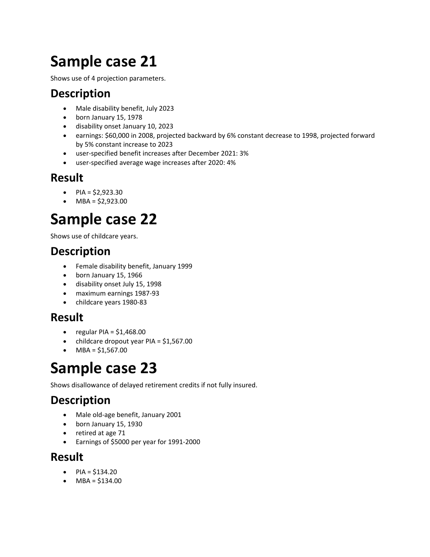## **Sample case 21**

Shows use of 4 projection parameters.

#### **Description**

- Male disability benefit, July 2023
- born January 15, 1978
- disability onset January 10, 2023
- earnings: \$60,000 in 2008, projected backward by 6% constant decrease to 1998, projected forward by 5% constant increase to 2023
- user‐specified benefit increases after December 2021: 3%
- user‐specified average wage increases after 2020: 4%

#### **Result**

- $PIA = $2,923.30$
- $\bullet$  MBA = \$2,923.00

## **Sample case 22**

Shows use of childcare years.

#### **Description**

- Female disability benefit, January 1999
- born January 15, 1966
- disability onset July 15, 1998
- maximum earnings 1987‐93
- childcare years 1980‐83

#### **Result**

- $\bullet$  regular PIA = \$1,468.00
- childcare dropout year PIA = \$1,567.00
- $-MBA = $1,567.00$

### **Sample case 23**

Shows disallowance of delayed retirement credits if not fully insured.

### **Description**

- Male old‐age benefit, January 2001
- born January 15, 1930
- retired at age 71
- Earnings of \$5000 per year for 1991‐2000

#### **Result**

- $PIA = $134.20$
- MBA = \$134.00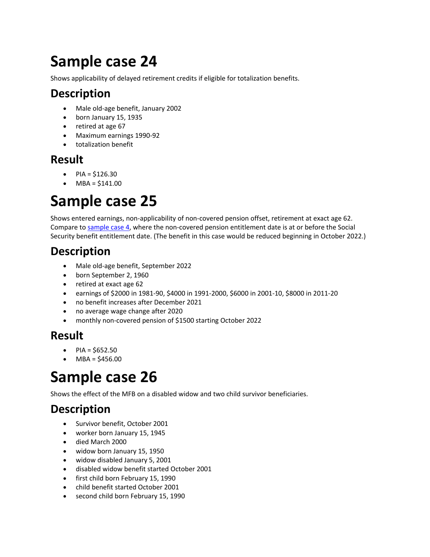# **Sample case 24**

Shows applicability of delayed retirement credits if eligible for totalization benefits.

#### **Description**

- Male old‐age benefit, January 2002
- born January 15, 1935
- retired at age 67
- Maximum earnings 1990‐92
- totalization benefit

#### **Result**

- $PIA = $126.30$
- MBA = \$141.00

## **Sample case 25**

Shows entered earnings, non‐applicability of non‐covered pension offset, retirement at exact age 62. Compare to sample case 4, where the non‐covered pension entitlement date is at or before the Social Security benefit entitlement date. (The benefit in this case would be reduced beginning in October 2022.)

### **Description**

- Male old-age benefit, September 2022
- born September 2, 1960
- retired at exact age 62
- earnings of \$2000 in 1981‐90, \$4000 in 1991‐2000, \$6000 in 2001‐10, \$8000 in 2011‐20
- no benefit increases after December 2021
- no average wage change after 2020
- monthly non-covered pension of \$1500 starting October 2022

#### **Result**

- $PIA = $652.50$
- $-MBA = $456.00$

## **Sample case 26**

Shows the effect of the MFB on a disabled widow and two child survivor beneficiaries.

## **Description**

- Survivor benefit, October 2001
- worker born January 15, 1945
- died March 2000
- widow born January 15, 1950
- widow disabled January 5, 2001
- disabled widow benefit started October 2001
- first child born February 15, 1990
- child benefit started October 2001
- second child born February 15, 1990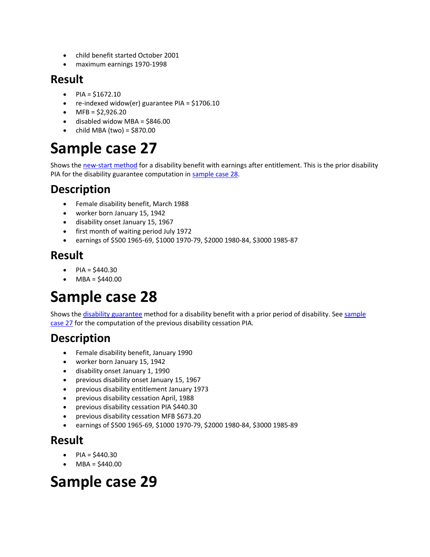- child benefit started October 2001
- maximum earnings 1970‐1998

#### **Result**

- $PIA = $1672.10$
- re-indexed widow(er) guarantee PIA = \$1706.10
- $\bullet$  MFB = \$2,926.20
- $\bullet$  disabled widow MBA = \$846.00
- $\bullet$  child MBA (two) = \$870.00

# **Sample case 27**

Shows the new-start method for a disability benefit with earnings after entitlement. This is the prior disability PIA for the disability guarantee computation in sample case 28.

#### **Description**

- Female disability benefit, March 1988
- worker born January 15, 1942
- disability onset January 15, 1967
- first month of waiting period July 1972
- earnings of \$500 1965‐69, \$1000 1970‐79, \$2000 1980‐84, \$3000 1985‐87

#### **Result**

- $PIA = $440.30$
- $\bullet$  MBA = \$440.00

## **Sample case 28**

Shows the disability guarantee method for a disability benefit with a prior period of disability. See sample case 27 for the computation of the previous disability cessation PIA.

#### **Description**

- Female disability benefit, January 1990
- worker born January 15, 1942
- disability onset January 1, 1990
- previous disability onset January 15, 1967
- previous disability entitlement January 1973
- previous disability cessation April, 1988
- previous disability cessation PIA \$440.30
- previous disability cessation MFB \$673.20
- earnings of \$500 1965‐69, \$1000 1970‐79, \$2000 1980‐84, \$3000 1985‐89

#### **Result**

- PIA = \$440.30
- MBA = \$440.00

## **Sample case 29**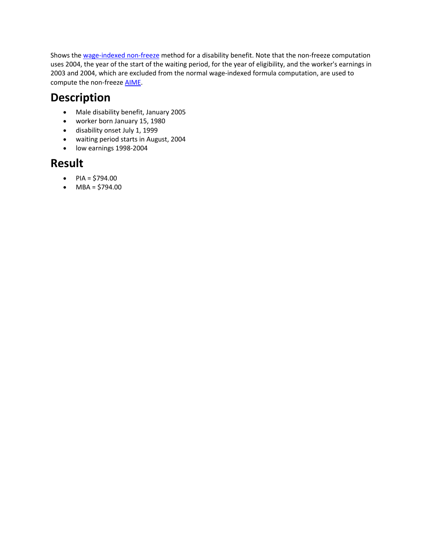Shows the wage-indexed non-freeze method for a disability benefit. Note that the non-freeze computation uses 2004, the year of the start of the waiting period, for the year of eligibility, and the worker's earnings in 2003 and 2004, which are excluded from the normal wage‐indexed formula computation, are used to compute the non-freeze **AIME**.

#### **Description**

- Male disability benefit, January 2005
- worker born January 15, 1980
- disability onset July 1, 1999
- waiting period starts in August, 2004
- low earnings 1998‐2004

#### **Result**

- $PIA = $794.00$
- $-MBA = $794.00$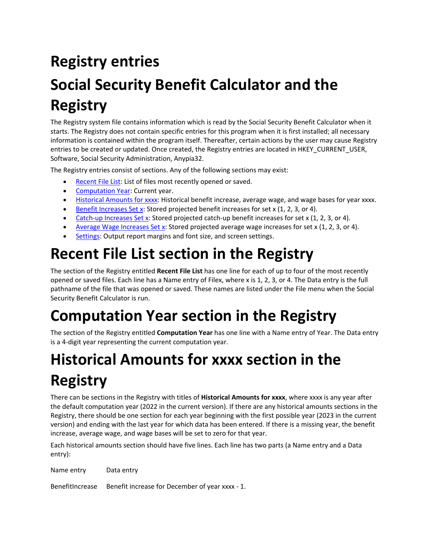# **Registry entries**

# **Social Security Benefit Calculator and the Registry**

The Registry system file contains information which is read by the Social Security Benefit Calculator when it starts. The Registry does not contain specific entries for this program when it is first installed; all necessary information is contained within the program itself. Thereafter, certain actions by the user may cause Registry entries to be created or updated. Once created, the Registry entries are located in HKEY\_CURRENT\_USER, Software, Social Security Administration, Anypia32.

The Registry entries consist of sections. Any of the following sections may exist:

- Recent File List: List of files most recently opened or saved.
- **Computation Year: Current year.**
- Historical Amounts for xxxx: Historical benefit increase, average wage, and wage bases for year xxxx.
- Benefit Increases Set x: Stored projected benefit increases for set x (1, 2, 3, or 4).
- Catch-up Increases Set x: Stored projected catch-up benefit increases for set x (1, 2, 3, or 4).
- Average Wage Increases Set x: Stored projected average wage increases for set x (1, 2, 3, or 4).
- Settings: Output report margins and font size, and screen settings.

## **Recent File List section in the Registry**

The section of the Registry entitled **Recent File List** has one line for each of up to four of the most recently opened or saved files. Each line has a Name entry of Filex, where x is 1, 2, 3, or 4. The Data entry is the full pathname of the file that was opened or saved. These names are listed under the File menu when the Social Security Benefit Calculator is run.

# **Computation Year section in the Registry**

The section of the Registry entitled **Computation Year** has one line with a Name entry of Year. The Data entry is a 4‐digit year representing the current computation year.

# **Historical Amounts for xxxx section in the Registry**

There can be sections in the Registry with titles of **Historical Amounts for xxxx**, where xxxx is any year after the default computation year (2022 in the current version). If there are any historical amounts sections in the Registry, there should be one section for each year beginning with the first possible year (2023 in the current version) and ending with the last year for which data has been entered. If there is a missing year, the benefit increase, average wage, and wage bases will be set to zero for that year.

Each historical amounts section should have five lines. Each line has two parts (a Name entry and a Data entry):

Name entry Data entry

BenefitIncrease Benefit increase for December of year xxxx ‐ 1.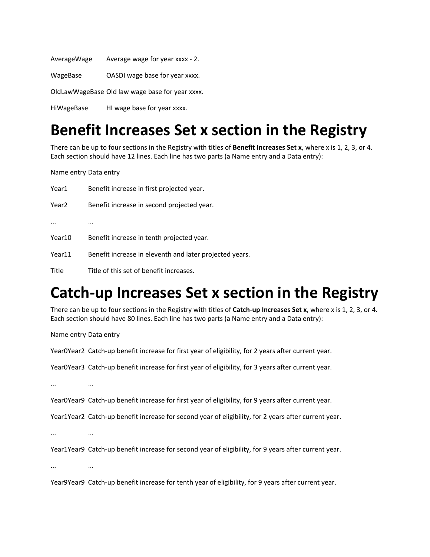| AverageWage | Average wage for year xxxx - 2.                 |
|-------------|-------------------------------------------------|
| WageBase    | OASDI wage base for year xxxx.                  |
|             | OldLawWageBase Old law wage base for year xxxx. |
| HiWageBase  | HI wage base for year xxxx.                     |

## **Benefit Increases Set x section in the Registry**

There can be up to four sections in the Registry with titles of **Benefit Increases Set x**, where x is 1, 2, 3, or 4. Each section should have 12 lines. Each line has two parts (a Name entry and a Data entry):

Name entry Data entry

| Year1    | Benefit increase in first projected year.               |
|----------|---------------------------------------------------------|
| Year2    | Benefit increase in second projected year.              |
| $\cdots$ |                                                         |
| Year10   | Benefit increase in tenth projected year.               |
| Year11   | Benefit increase in eleventh and later projected years. |
| Title    | Title of this set of benefit increases.                 |

## **Catch‐up Increases Set x section in the Registry**

There can be up to four sections in the Registry with titles of **Catch‐up Increases Set x**, where x is 1, 2, 3, or 4. Each section should have 80 lines. Each line has two parts (a Name entry and a Data entry):

Name entry Data entry

Year0Year2 Catch‐up benefit increase for first year of eligibility, for 2 years after current year.

Year0Year3 Catch‐up benefit increase for first year of eligibility, for 3 years after current year.

... ...

Year0Year9 Catch‐up benefit increase for first year of eligibility, for 9 years after current year.

Year1Year2 Catch-up benefit increase for second year of eligibility, for 2 years after current year.

... ...

Year1Year9 Catch-up benefit increase for second year of eligibility, for 9 years after current year.

... ...

Year9Year9 Catch‐up benefit increase for tenth year of eligibility, for 9 years after current year.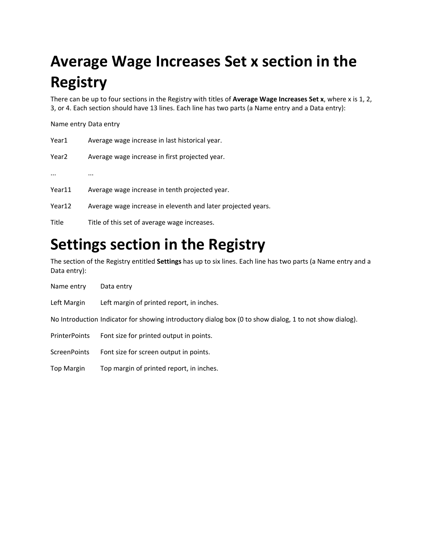# **Average Wage Increases Set x section in the Registry**

There can be up to four sections in the Registry with titles of **Average Wage Increases Set x**, where x is 1, 2, 3, or 4. Each section should have 13 lines. Each line has two parts (a Name entry and a Data entry):

#### Name entry Data entry

| Year1             | Average wage increase in last historical year.               |
|-------------------|--------------------------------------------------------------|
| Year <sub>2</sub> | Average wage increase in first projected year.               |
| $\cdots$          |                                                              |
| Year11            | Average wage increase in tenth projected year.               |
| Year12            | Average wage increase in eleventh and later projected years. |
| Title             | Title of this set of average wage increases.                 |
|                   |                                                              |

## **Settings section in the Registry**

The section of the Registry entitled **Settings** has up to six lines. Each line has two parts (a Name entry and a Data entry):

| Name entry    | Data entry                                                                                              |
|---------------|---------------------------------------------------------------------------------------------------------|
| Left Margin   | Left margin of printed report, in inches.                                                               |
|               | No Introduction Indicator for showing introductory dialog box (0 to show dialog, 1 to not show dialog). |
| PrinterPoints | Font size for printed output in points.                                                                 |
| ScreenPoints  | Font size for screen output in points.                                                                  |
| Top Margin    | Top margin of printed report, in inches.                                                                |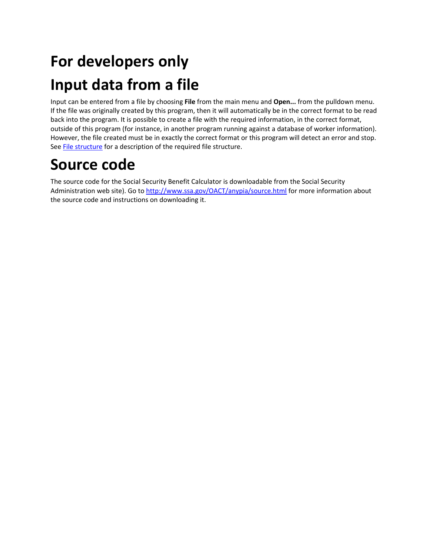# **For developers only Input data from a file**

Input can be entered from a file by choosing **File** from the main menu and **Open...** from the pulldown menu. If the file was originally created by this program, then it will automatically be in the correct format to be read back into the program. It is possible to create a file with the required information, in the correct format, outside of this program (for instance, in another program running against a database of worker information). However, the file created must be in exactly the correct format or this program will detect an error and stop. See **File structure** for a description of the required file structure.

## **Source code**

The source code for the Social Security Benefit Calculator is downloadable from the Social Security Administration web site). Go to http://www.ssa.gov/OACT/anypia/source.html for more information about the source code and instructions on downloading it.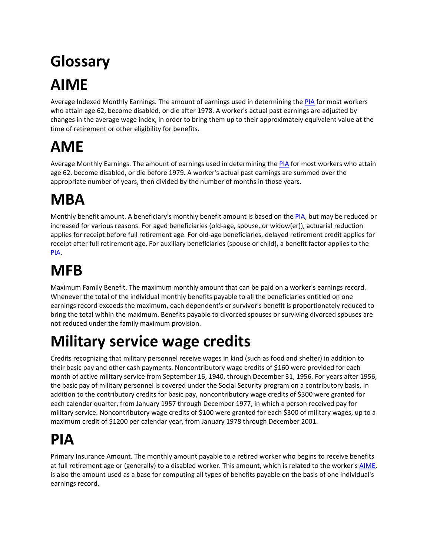# **Glossary AIME**

Average Indexed Monthly Earnings. The amount of earnings used in determining the PIA for most workers who attain age 62, become disabled, or die after 1978. A worker's actual past earnings are adjusted by changes in the average wage index, in order to bring them up to their approximately equivalent value at the time of retirement or other eligibility for benefits.

# **AME**

Average Monthly Earnings. The amount of earnings used in determining the PIA for most workers who attain age 62, become disabled, or die before 1979. A worker's actual past earnings are summed over the appropriate number of years, then divided by the number of months in those years.

# **MBA**

Monthly benefit amount. A beneficiary's monthly benefit amount is based on the PIA, but may be reduced or increased for various reasons. For aged beneficiaries (old‐age, spouse, or widow(er)), actuarial reduction applies for receipt before full retirement age. For old‐age beneficiaries, delayed retirement credit applies for receipt after full retirement age. For auxiliary beneficiaries (spouse or child), a benefit factor applies to the PIA.

# **MFB**

Maximum Family Benefit. The maximum monthly amount that can be paid on a worker's earnings record. Whenever the total of the individual monthly benefits payable to all the beneficiaries entitled on one earnings record exceeds the maximum, each dependent's or survivor's benefit is proportionately reduced to bring the total within the maximum. Benefits payable to divorced spouses or surviving divorced spouses are not reduced under the family maximum provision.

# **Military service wage credits**

Credits recognizing that military personnel receive wages in kind (such as food and shelter) in addition to their basic pay and other cash payments. Noncontributory wage credits of \$160 were provided for each month of active military service from September 16, 1940, through December 31, 1956. For years after 1956, the basic pay of military personnel is covered under the Social Security program on a contributory basis. In addition to the contributory credits for basic pay, noncontributory wage credits of \$300 were granted for each calendar quarter, from January 1957 through December 1977, in which a person received pay for military service. Noncontributory wage credits of \$100 were granted for each \$300 of military wages, up to a maximum credit of \$1200 per calendar year, from January 1978 through December 2001.

# **PIA**

Primary Insurance Amount. The monthly amount payable to a retired worker who begins to receive benefits at full retirement age or (generally) to a disabled worker. This amount, which is related to the worker's AIME, is also the amount used as a base for computing all types of benefits payable on the basis of one individual's earnings record.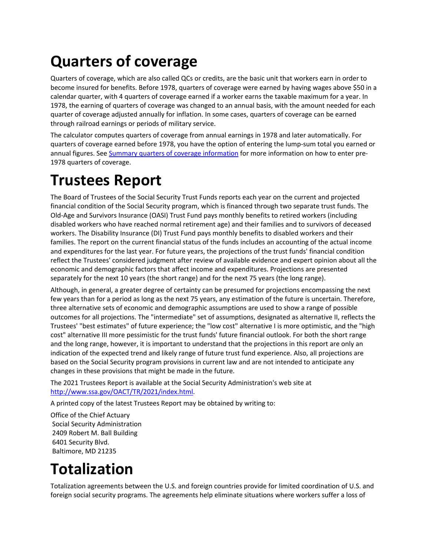# **Quarters of coverage**

Quarters of coverage, which are also called QCs or credits, are the basic unit that workers earn in order to become insured for benefits. Before 1978, quarters of coverage were earned by having wages above \$50 in a calendar quarter, with 4 quarters of coverage earned if a worker earns the taxable maximum for a year. In 1978, the earning of quarters of coverage was changed to an annual basis, with the amount needed for each quarter of coverage adjusted annually for inflation. In some cases, quarters of coverage can be earned through railroad earnings or periods of military service.

The calculator computes quarters of coverage from annual earnings in 1978 and later automatically. For quarters of coverage earned before 1978, you have the option of entering the lump‐sum total you earned or annual figures. See Summary quarters of coverage information for more information on how to enter pre-1978 quarters of coverage.

## **Trustees Report**

The Board of Trustees of the Social Security Trust Funds reports each year on the current and projected financial condition of the Social Security program, which is financed through two separate trust funds. The Old‐Age and Survivors Insurance (OASI) Trust Fund pays monthly benefits to retired workers (including disabled workers who have reached normal retirement age) and their families and to survivors of deceased workers. The Disability Insurance (DI) Trust Fund pays monthly benefits to disabled workers and their families. The report on the current financial status of the funds includes an accounting of the actual income and expenditures for the last year. For future years, the projections of the trust funds' financial condition reflect the Trustees' considered judgment after review of available evidence and expert opinion about all the economic and demographic factors that affect income and expenditures. Projections are presented separately for the next 10 years (the short range) and for the next 75 years (the long range).

Although, in general, a greater degree of certainty can be presumed for projections encompassing the next few years than for a period as long as the next 75 years, any estimation of the future is uncertain. Therefore, three alternative sets of economic and demographic assumptions are used to show a range of possible outcomes for all projections. The "intermediate" set of assumptions, designated as alternative II, reflects the Trustees' "best estimates" of future experience; the "low cost" alternative I is more optimistic, and the "high cost" alternative III more pessimistic for the trust funds' future financial outlook. For both the short range and the long range, however, it is important to understand that the projections in this report are only an indication of the expected trend and likely range of future trust fund experience. Also, all projections are based on the Social Security program provisions in current law and are not intended to anticipate any changes in these provisions that might be made in the future.

The 2021 Trustees Report is available at the Social Security Administration's web site at http://www.ssa.gov/OACT/TR/2021/index.html.

A printed copy of the latest Trustees Report may be obtained by writing to:

Office of the Chief Actuary Social Security Administration 2409 Robert M. Ball Building 6401 Security Blvd. Baltimore, MD 21235

## **Totalization**

Totalization agreements between the U.S. and foreign countries provide for limited coordination of U.S. and foreign social security programs. The agreements help eliminate situations where workers suffer a loss of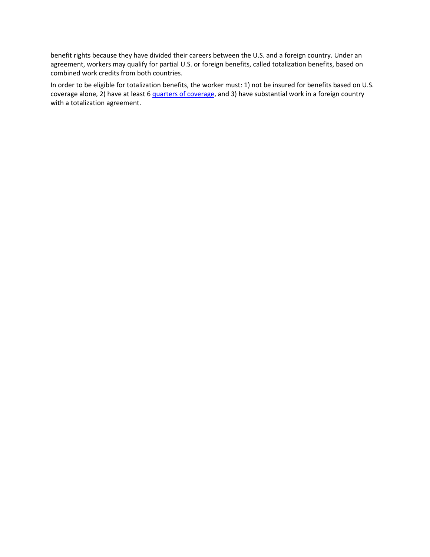benefit rights because they have divided their careers between the U.S. and a foreign country. Under an agreement, workers may qualify for partial U.S. or foreign benefits, called totalization benefits, based on combined work credits from both countries.

In order to be eligible for totalization benefits, the worker must: 1) not be insured for benefits based on U.S. coverage alone, 2) have at least 6 quarters of coverage, and 3) have substantial work in a foreign country with a totalization agreement.